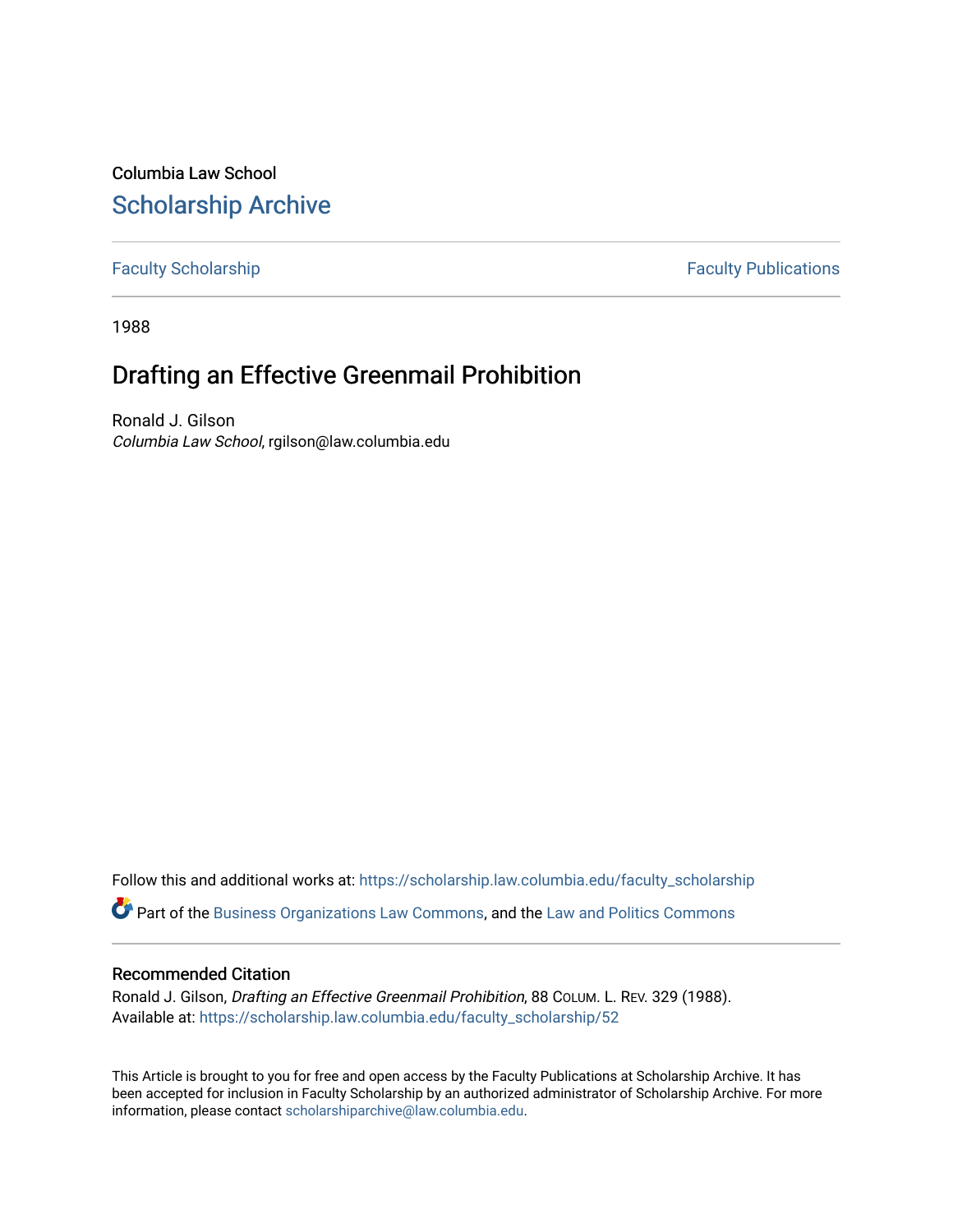Columbia Law School [Scholarship Archive](https://scholarship.law.columbia.edu/) 

[Faculty Scholarship](https://scholarship.law.columbia.edu/faculty_scholarship) **Faculty Scholarship Faculty Publications** 

1988

# Drafting an Effective Greenmail Prohibition

Ronald J. Gilson Columbia Law School, rgilson@law.columbia.edu

Follow this and additional works at: [https://scholarship.law.columbia.edu/faculty\\_scholarship](https://scholarship.law.columbia.edu/faculty_scholarship?utm_source=scholarship.law.columbia.edu%2Ffaculty_scholarship%2F52&utm_medium=PDF&utm_campaign=PDFCoverPages)

Part of the [Business Organizations Law Commons](http://network.bepress.com/hgg/discipline/900?utm_source=scholarship.law.columbia.edu%2Ffaculty_scholarship%2F52&utm_medium=PDF&utm_campaign=PDFCoverPages), and the [Law and Politics Commons](http://network.bepress.com/hgg/discipline/867?utm_source=scholarship.law.columbia.edu%2Ffaculty_scholarship%2F52&utm_medium=PDF&utm_campaign=PDFCoverPages) 

# Recommended Citation

Ronald J. Gilson, Drafting an Effective Greenmail Prohibition, 88 COLUM. L. REV. 329 (1988). Available at: [https://scholarship.law.columbia.edu/faculty\\_scholarship/52](https://scholarship.law.columbia.edu/faculty_scholarship/52?utm_source=scholarship.law.columbia.edu%2Ffaculty_scholarship%2F52&utm_medium=PDF&utm_campaign=PDFCoverPages) 

This Article is brought to you for free and open access by the Faculty Publications at Scholarship Archive. It has been accepted for inclusion in Faculty Scholarship by an authorized administrator of Scholarship Archive. For more information, please contact [scholarshiparchive@law.columbia.edu.](mailto:scholarshiparchive@law.columbia.edu)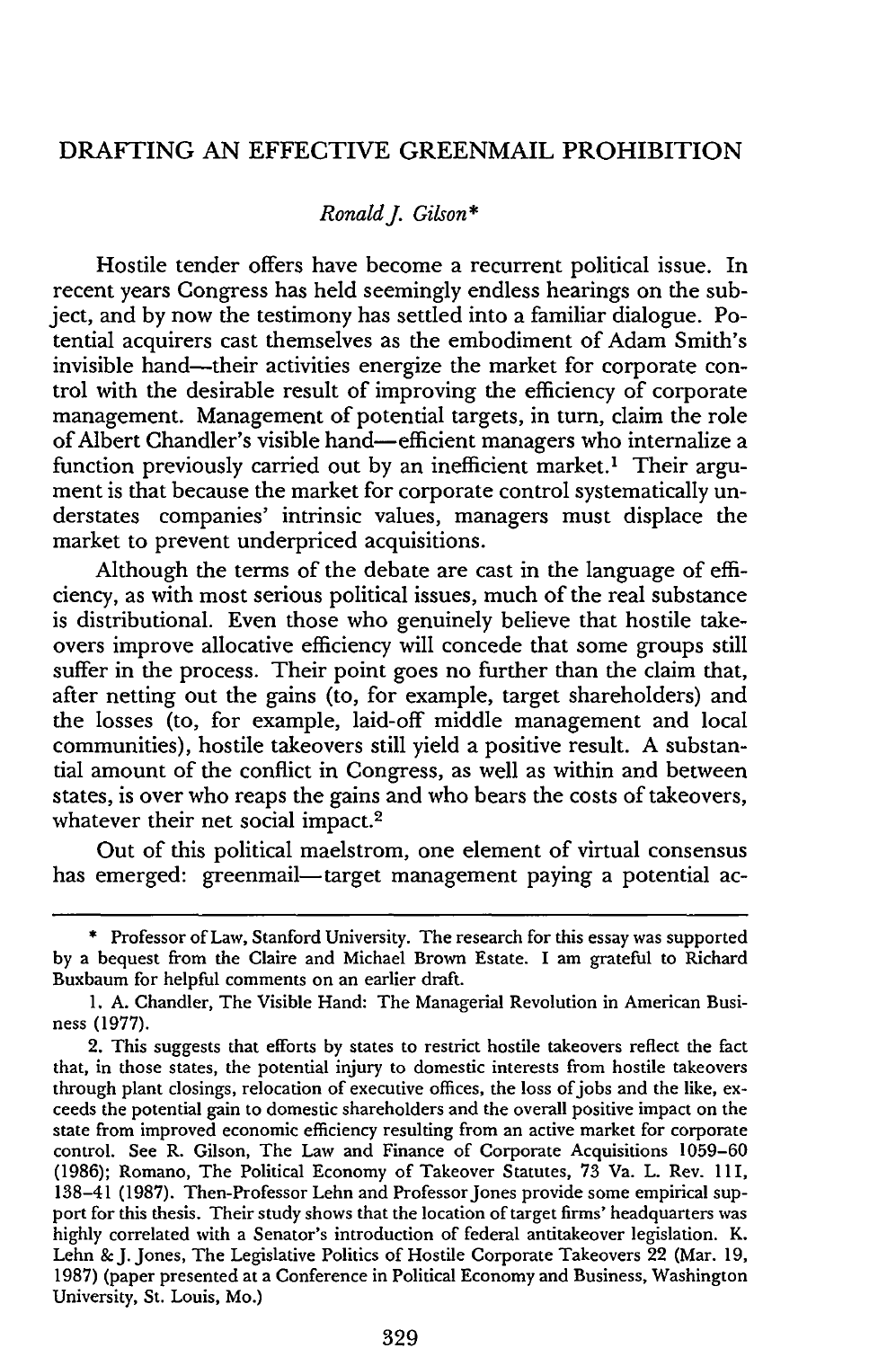# DRAFTING AN EFFECTIVE GREENMAIL PROHIBITION

## *RonaldJ. Gilson\**

Hostile tender offers have become a recurrent political issue. In recent years Congress has held seemingly endless hearings on the subject, and by now the testimony has settled into a familiar dialogue. Potential acquirers cast themselves as the embodiment of Adam Smith's invisible hand-their activities energize the market for corporate control with the desirable result of improving the efficiency of corporate management. Management of potential targets, in turn, claim the role of Albert Chandler's visible hand-efficient managers who internalize a function previously carried out by an inefficient market.<sup>1</sup> Their argument is that because the market for corporate control systematically understates companies' intrinsic values, managers must displace the market to prevent underpriced acquisitions.

Although the terms of the debate are cast in the language of efficiency, as with most serious political issues, much of the real substance is distributional. Even those who genuinely believe that hostile takeovers improve allocative efficiency will concede that some groups still suffer in the process. Their point goes no further than the claim that, after netting out the gains (to, for example, target shareholders) and the losses (to, for example, laid-off middle management and local communities), hostile takeovers still yield a positive result. A substantial amount of the conflict in Congress, as well as within and between states, is over who reaps the gains and who bears the costs of takeovers, whatever their net social impact.<sup>2</sup>

Out of this political maelstrom, one element of virtual consensus has emerged: greenmail—target management paying a potential ac-

<sup>\*</sup> Professor of Law, Stanford University. The research for this essay was supported by a bequest from the Claire and Michael Brown Estate. I am grateful to Richard Buxbaum for helpful comments on an earlier draft.

**<sup>1.</sup>** A. Chandler, The Visible Hand: The Managerial Revolution in American Business (1977).

<sup>2.</sup> This suggests that efforts by states to restrict hostile takeovers reflect the fact that, in those states, the potential injury to domestic interests from hostile takeovers through plant closings, relocation of executive offices, the loss ofjobs and the like, exceeds the potential gain to domestic shareholders and the overall positive impact on the state from improved economic efficiency resulting from an active market for corporate control. See R. Gilson, The Law and Finance of Corporate Acquisitions 1059-60 (1986); Romano, The Political Economy of Takeover Statutes, 73 Va. L. Rev. 111, 138-41 (1987). Then-Professor Lehn and Professor Jones provide some empirical support for this thesis. Their study shows that the location of target firms' headquarters was highly correlated with a Senator's introduction of federal antitakeover legislation. K. Lehn & J. Jones, The Legislative Politics of Hostile Corporate Takeovers 22 (Mar. 19, 1987) (paper presented at a Conference in Political Economy and Business, Washington University, St. Louis, Mo.)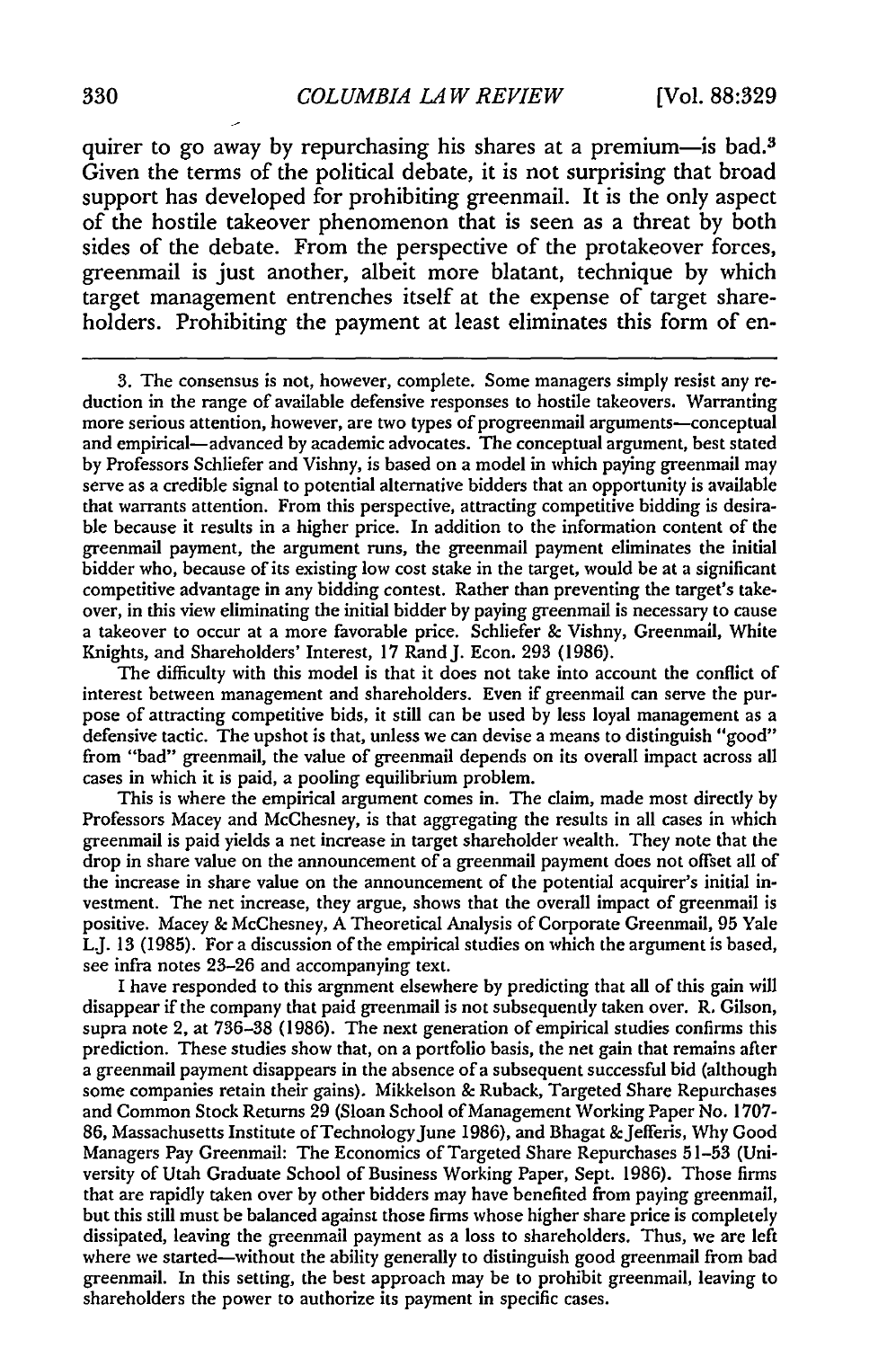quirer to go away by repurchasing his shares at a premium-is bad.<sup>3</sup> Given the terms of the political debate, it is not surprising that broad support has developed for prohibiting greenmail. It is the only aspect of the hostile takeover phenomenon that is seen as a threat by both sides of the debate. From the perspective of the protakeover forces, greenmail is just another, albeit more blatant, technique by which target management entrenches itself at the expense of target shareholders. Prohibiting the payment at least eliminates this form of en-

3. The consensus is not, however, complete. Some managers simply resist any reduction in the range of available defensive responses to hostile takeovers. Warranting more serious attention, however, are two types of progreenmail arguments-conceptual and empirical-advanced by academic advocates. The conceptual argument, best stated by Professors Schliefer and Vishny, is based on a model in which paying greenmail may serve as a credible signal to potential alternative bidders that an opportunity is available that warrants attention. From this perspective, attracting competitive bidding is desirable because it results in a higher price. In addition to the information content of the greenmail payment, the argument runs, the greenmail payment eliminates the initial bidder who, because of its existing low cost stake in the target, would be at a significant competitive advantage in any bidding contest. Rather than preventing the target's takeover, in this view eliminating the initial bidder by paying greenmail is necessary to cause a takeover to occur at a more favorable price. Schliefer & Vishny, Greenmail, White Knights, and Shareholders' Interest, 17 RandJ. Econ. 293 (1986).

The difficulty with this model is that it does not take into account the conflict of interest between management and shareholders. Even if greenmail can serve the purpose of attracting competitive bids, it still can be used by less loyal management as a defensive tactic. The upshot is that, unless we can devise a means to distinguish "good" from "bad" greenmail, the value of greenmail depends on its overall impact across all cases in which it is paid, a pooling equilibrium problem.

This is where the empirical argument comes in. The claim, made most directly by Professors Macey and McChesney, is that aggregating the results in all cases in which greenmail is paid yields a net increase in target shareholder wealth. They note that the drop in share value on the announcement of a greenmail payment does not offset all of the increase in share value on the announcement of the potential acquirer's initial investment. The net increase, they argue, shows that the overall impact of greenmail is positive. Macey & McChesney, A Theoretical Analysis of Corporate Greenmail, 95 Yale LJ. 13 (1985). For a discussion of the empirical studies on which the argument is based, see infra notes 23-26 and accompanying text.

I have responded to this argnment elsewhere by predicting that all of this gain will disappear if the company that paid greenmail is not subsequently taken over. R. Gilson, supra note 2, at 736-38 (1986). The next generation of empirical studies confirms this prediction. These studies show that, on a portfolio basis, the net gain that remains after a greenmail payment disappears in the absence of a subsequent successful bid (although some companies retain their gains). Mikkelson & Ruback, Targeted Share Repurchases and Common Stock Returns 29 (Sloan School of Management Working Paper No. 1707- 86, Massachusetts Institute of TechnologyJune 1986), and Bhagat &Jefferis, Why Good Managers Pay Greenmail: The Economics of Targeted Share Repurchases 51-53 (University of Utah Graduate School of Business Working Paper, Sept. 1986). Those firms that are rapidly taken over by other bidders may have benefited from paying greenmail, but this still must be balanced against those firms whose higher share price is completely dissipated, leaving the greenmail payment as a loss to shareholders. Thus, we are left where we started-without the ability generally to distinguish good greenmail from bad greenmail. In this setting, the best approach may be to prohibit greenmail, leaving to shareholders the power to authorize its payment in specific cases.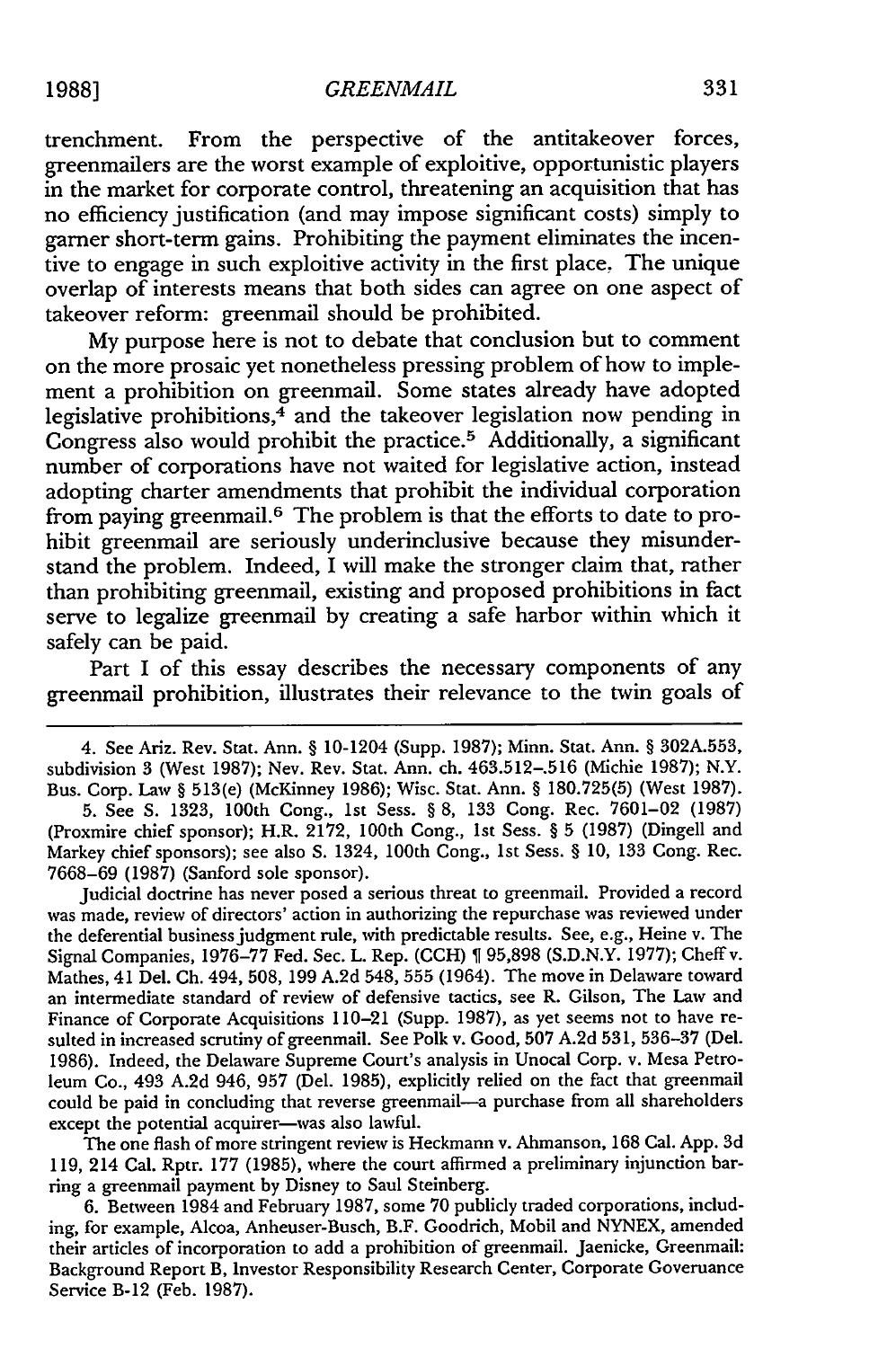trenchment. From the perspective of the antitakeover forces, greenmailers are the worst example of exploitive, opportunistic players in the market for corporate control, threatening an acquisition that has no efficiency justification (and may impose significant costs) simply to gamer short-term gains. Prohibiting the payment eliminates the incentive to engage in such exploitive activity in the first place. The unique overlap of interests means that both sides can agree on one aspect of takeover reform: greenmail should be prohibited.

My purpose here is not to debate that conclusion but to comment on the more prosaic yet nonetheless pressing problem of how to implement a prohibition on greenmail. Some states already have adopted legislative prohibitions, $\frac{4}{3}$  and the takeover legislation now pending in Congress also would prohibit the practice.<sup>5</sup> Additionally, a significant number of corporations have not waited for legislative action, instead adopting charter amendments that prohibit the individual corporation from paying greenmail.<sup>6</sup> The problem is that the efforts to date to prohibit greenmail are seriously underinclusive because they misunderstand the problem. Indeed, I will make the stronger claim that, rather than prohibiting greenmail, existing and proposed prohibitions in fact serve to legalize greenmail by creating a safe harbor within which it safely can be paid.

Part I of this essay describes the necessary components of any greenmail prohibition, illustrates their relevance to the twin goals of

4. See Ariz. Rev. Stat. Ann. § 10-1204 (Supp. 1987); Minn. Stat. Ann. § 302A.553, subdivision 3 (West 1987); Nev. Rev. Stat. Ann. ch. 463.512-.516 (Michie 1987); N.Y. Bus. Corp. Law § 513(e) (McKinney 1986); Wisc. Stat. Ann. § 180.725(5) (West 1987).

5. See **S.** 1323, 100th Cong., Ist Sess. § 8, 133 Cong. Rec. 7601-02 (1987) (Proxmire chief sponsor); H.R. 2172, 100th Cong., 1st Sess. § 5 (1987) (Dingell and Markey chief sponsors); see also S. 1324, 100th Cong., Ist Sess. § 10, 133 Cong. Rec. 7668-69 (1987) (Sanford sole sponsor).

Judicial doctrine has never posed a serious threat to greenmail. Provided a record was made, review of directors' action in authorizing the repurchase was reviewed under the deferential business judgment rule, with predictable results. See, e.g., Heine v. The Signal Companies, 1976-77 Fed. Sec. L. Rep. (CCH) 95,898 (S.D.N.Y. 1977); Cheffv. Mathes, 41 Del. Ch. 494, 508, 199 A.2d 548, **555** (1964). The move in Delaware toward an intermediate standard of review of defensive tactics, see R. Gilson, The Law and Finance of Corporate Acquisitions 110-21 (Supp. 1987), as yet seems not to have resulted in increased scrutiny of greenmail. See Polk v. Good, 507 A.2d 531, 536-37 (Del. 1986). Indeed, the Delaware Supreme Court's analysis in Unocal Corp. v. Mesa Petroleum Co., 493 A.2d 946, 957 (Del. 1985), explicitly relied on the fact that greenmail could be paid in concluding that reverse greenmail-a purchase from all shareholders except the potential acquirer-was also lawful.

The one flash of more stringent review is Heckmann v. Ahmanson, 168 Cal. App. 3d 119, 214 Cal. Rptr. 177 (1985), where the court affirmed a preliminary injunction barring a greenmail payment by Disney to Saul Steinberg.

6. Between 1984 and February 1987, some 70 publicly traded corporations, including, for example, Alcoa, Anheuser-Busch, B.F. Goodrich, Mobil and NYNEX, amended their articles of incorporation to add a prohibition of greenmail. Jaenicke, Greenmail: Background Report B, Investor Responsibility Research Center, Corporate Governance Service B-12 (Feb. 1987).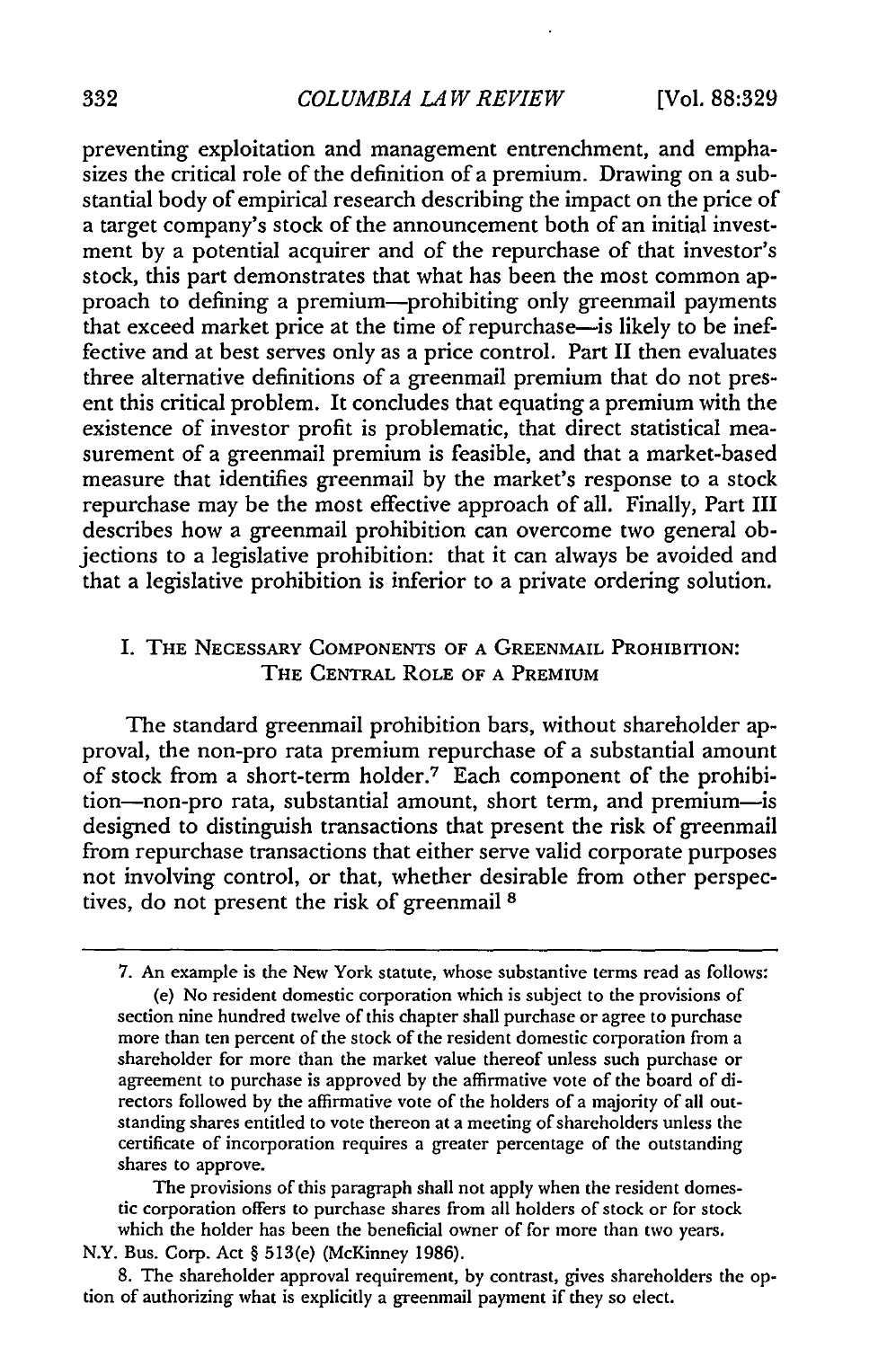# *COLUMBIA LAW REVIEW* **332 [Vol. 88:329**

preventing exploitation and management entrenchment, and emphasizes the critical role of the definition of a premium. Drawing on a substantial body of empirical research describing the impact on the price of a target company's stock of the announcement both of an initial investment by a potential acquirer and of the repurchase of that investor's stock, this part demonstrates that what has been the most common approach to defining a premium-prohibiting only greenmail payments that exceed market price at the time of repurchase—is likely to be ineffective and at best serves only as a price control. Part II then evaluates three alternative definitions of a greenmail premium that do not present this critical problem. It concludes that equating a premium with the existence of investor profit is problematic, that direct statistical measurement of a greenmail premium is feasible, and that a market-based measure that identifies greenmail by the market's response to a stock repurchase may be the most effective approach of all. Finally, Part III describes how a greenmail prohibition can overcome two general objections to a legislative prohibition: that it can always be avoided and that a legislative prohibition is inferior to a private ordering solution.

# I. THE **NECESSARY** COMPONENTS OF **A** GREENMAIL PROHIBITION: THE CENTRAL ROLE OF A PREMIUM

The standard greenmail prohibition bars, without shareholder approval, the non-pro rata premium repurchase of a substantial amount of stock from a short-term holder.7 Each component of the prohibition-non-pro rata, substantial amount, short term, and premium-is designed to distinguish transactions that present the risk of greenmail from repurchase transactions that either serve valid corporate purposes not involving control, or that, whether desirable from other perspectives, do not present the risk of greenmail **8**

The provisions of this paragraph shall not apply when the resident domestic corporation offers to purchase shares from all holders of stock or for stock which the holder has been the beneficial owner of for more than two years. N.Y. Bus. Corp. Act § 513(e) (McKinney 1986).

8. The shareholder approval requirement, by contrast, gives shareholders the option of authorizing what is explicitly a greenmail payment if they so elect.

<sup>7.</sup> An example is the New York statute, whose substantive terms read as follows: (e) No resident domestic corporation which is subject to the provisions of section nine hundred twelve of this chapter shall purchase or agree to purchase more than ten percent of the stock of the resident domestic corporation from a shareholder for more than the market value thereof unless such purchase or agreement to purchase is approved by the affirmative vote of the board of directors followed by the affirmative vote of the holders of a majority of all outstanding shares entitled to vote thereon at a meeting of shareholders unless the certificate of incorporation requires a greater percentage of the outstanding shares to approve.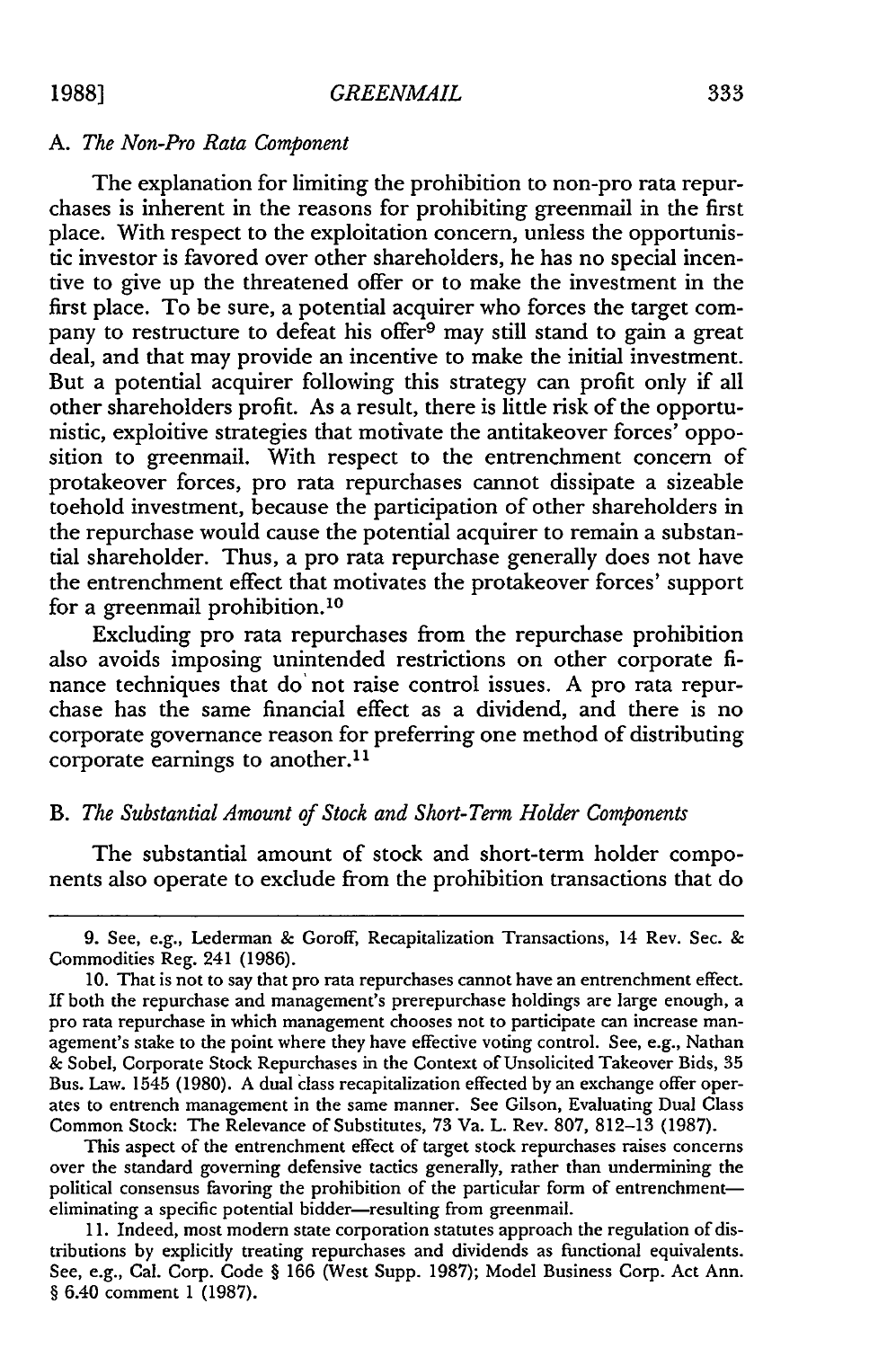#### *A. The Non-Pro Rata Component*

The explanation for limiting the prohibition to non-pro rata repurchases is inherent in the reasons for prohibiting greenmail in the first place. With respect to the exploitation concern, unless the opportunistic investor is favored over other shareholders, he has no special incentive to give up the threatened offer or to make the investment in the first place. To be sure, a potential acquirer who forces the target company to restructure to defeat his offer<sup>9</sup> may still stand to gain a great deal, and that may provide an incentive to make the initial investment. But a potential acquirer following this strategy can profit only if all other shareholders profit. As a result, there is little risk of the opportunistic, exploitive strategies that motivate the antitakeover forces' opposition to greenmail. With respect to the entrenchment concern of protakeover forces, pro rata repurchases cannot dissipate a sizeable toehold investment, because the participation of other shareholders in the repurchase would cause the potential acquirer to remain a substantial shareholder. Thus, a pro rata repurchase generally does not have the entrenchment effect that motivates the protakeover forces' support for a greenmail prohibition.<sup>10</sup>

Excluding pro rata repurchases from the repurchase prohibition also avoids imposing unintended restrictions on other corporate finance techniques that *do'* not raise control issues. A pro rata repurchase has the same financial effect as a dividend, and there is no corporate governance reason for preferring one method of distributing corporate earnings to another.<sup>11</sup>

# *B. The Substantial Amount of Stock and Short-Term Holder Components*

The substantial amount of stock and short-term holder components also operate to exclude from the prohibition transactions that do

This aspect of the entrenchment effect of target stock repurchases raises concerns over the standard governing defensive tactics generally, rather than undermining the political consensus favoring the prohibition of the particular form of entrenchmenteliminating a specific potential bidder-resulting from greenmail.

11. Indeed, most modem state corporation statutes approach the regulation of distributions by explicitly treating repurchases and dividends as functional equivalents. See, e.g., Cal. Corp. Code § 166 (West Supp. 1987); Model Business Corp. Act Ann. § 6.40 comment 1 (1987).

<sup>9.</sup> See, e.g., Lederman & Goroff, Recapitalization Transactions, 14 Rev. Sec. & Commodities Reg. 241 (1986).

<sup>10.</sup> That is not to say that pro rata repurchases cannot have an entrenchment effect. If both the repurchase and management's prerepurchase holdings are large enough, a pro rata repurchase in which management chooses not to participate can increase management's stake to the point where they have effective voting control. See, e.g., Nathan & Sobel, Corporate Stock Repurchases in the Context of Unsolicited Takeover Bids, **35** Bus. Law. 1545 (1980). A dual class recapitalization effected by an exchange offer operates to entrench management in the same manner. See Gilson, Evaluating Dual Class Common Stock: The Relevance of Substitutes, 73 Va. L. Rev. 807, 812-13 (1987).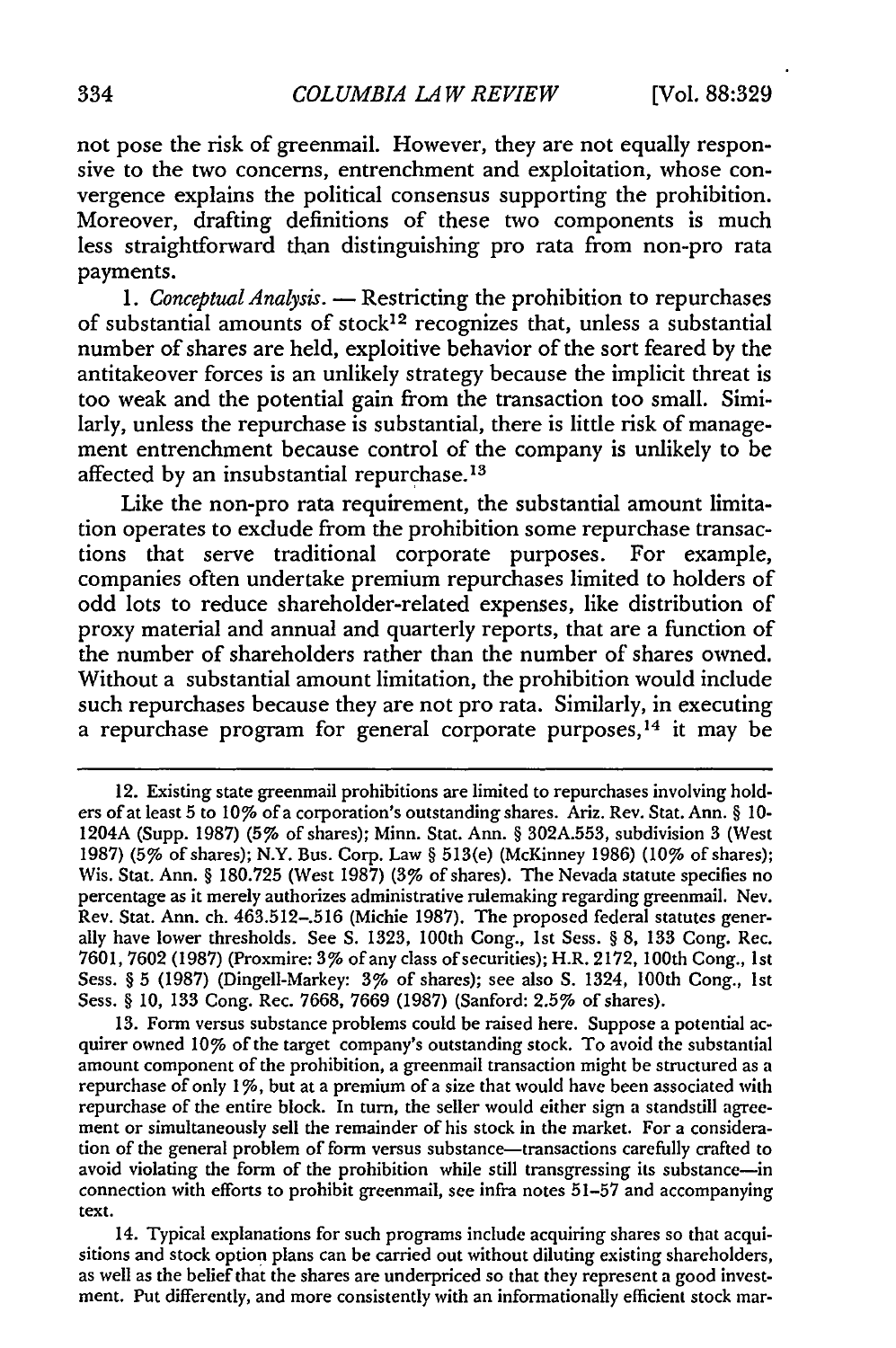not pose the risk of greenmail. However, they are not equally responsive to the two concerns, entrenchment and exploitation, whose convergence explains the political consensus supporting the prohibition. Moreover, drafting definitions of these two components is much less straightforward than distinguishing pro rata from non-pro rata payments.

*1. Conceptual Analysis.* **-** Restricting the prohibition to repurchases of substantial amounts of stock12 recognizes that, unless a substantial number of shares are held, exploitive behavior of the sort feared **by** the antitakeover forces is an unlikely strategy because the implicit threat is too weak and the potential gain from the transaction too small. Similarly, unless the repurchase is substantial, there is little risk of management entrenchment because control of the company is unlikely to be affected **by** an insubstantial repurchase. <sup>13</sup>

Like the non-pro rata requirement, the substantial amount limitation operates to exclude from the prohibition some repurchase transactions that serve traditional corporate purposes. For example, companies often undertake premium repurchases limited to holders of odd lots to reduce shareholder-related expenses, like distribution of proxy material and annual and quarterly reports, that are a function of the number of shareholders rather than the number of shares owned. Without a substantial amount limitation, the prohibition would include such repurchases because they are not pro rata. Similarly, in executing a repurchase program for general corporate purposes,<sup>14</sup> it may be

13. Form versus substance problems could be raised here. Suppose a potential acquirer owned 10% of the target company's outstanding stock. To avoid the substantial amount component of the prohibition, a greenmail transaction might be structured as a repurchase of only 1%, but at a premium of a size that would have been associated with repurchase of the entire block. In turn, the seller would either sign a standstill agreement or simultaneously sell the remainder of his stock in the market. For a consideration of the general problem of form versus substance-transactions carefully crafted to avoid violating the form of the prohibition while still transgressing its substance-in connection with efforts to prohibit greenmail, see infra notes 51-57 and accompanying text.

14. Typical explanations for such programs include acquiring shares so that acquisitions and stock option plans can be carried out without diluting existing shareholders, as well as the belief that the shares are underpriced so that they represent a good investment. Put differently, and more consistently with an informationally efficient stock mar-

<sup>12.</sup> Existing state greenmail prohibitions are limited to repurchases involving holders of at least 5 to 10% of a corporation's outstanding shares. Ariz. Rev. Stat. Ann. § **10-** 1204A (Supp. 1987) (5% of shares); Minn. Stat. Ann. § 302A.553, subdivision 3 (West 1987) (5% of shares); N.Y. Bus. Corp. Law § 513(e) (McKinney 1986) (10% of shares); Wis. Stat. Ann. § 180.725 (West 1987) (3% of shares). The Nevada statute specifies no percentage as it merely authorizes administrative rulemaking regarding greenmail. Nev. Rev. Stat. Ann. ch. 463.512-.516 (Michie 1987). The proposed federal statutes generally have lower thresholds. See **S.** 1323, 100th Cong., 1st Sess. § 8, 133 Cong. Rec. 7601, 7602 (1987) (Proxmire: 3% of any class of securities); H.R. 2172, 100th Cong., 1st Sess. § 5 (1987) (Dingell-Markey: 3% of shares); see also **S.** 1324, 100th Cong., 1st Sess. § **10,** 133 Cong. Rec. 7668, 7669 (1987) (Sanford: 2.5% of shares).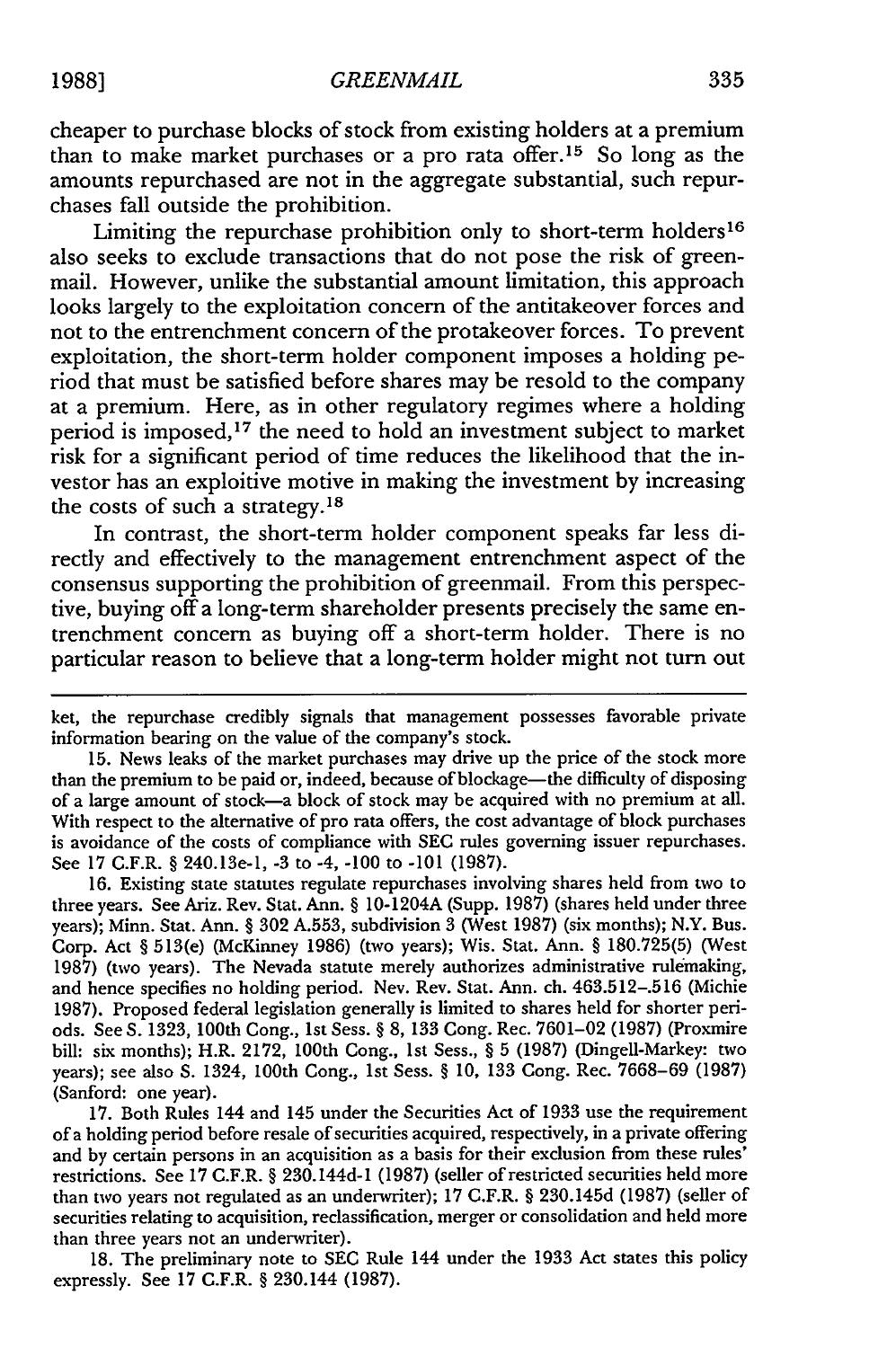cheaper to purchase blocks of stock from existing holders at a premium than to make market purchases or a pro rata offer. 15 So long as the amounts repurchased are not in the aggregate substantial, such repurchases fall outside the prohibition.

Limiting the repurchase prohibition only to short-term holders<sup>16</sup> also seeks to exclude transactions that do not pose the risk of greenmail. However, unlike the substantial amount limitation, this approach looks largely to the exploitation concern of the antitakeover forces and not to the entrenchment concern of the protakeover forces. To prevent exploitation, the short-term holder component imposes a holding period that must be satisfied before shares may be resold to the company at a premium. Here, as in other regulatory regimes where a holding period is imposed,<sup>17</sup> the need to hold an investment subject to market risk for a significant period of time reduces the likelihood that the investor has an exploitive motive in making the investment by increasing the costs of such a strategy.18

In contrast, the short-term holder component speaks far less directly and effectively to the management entrenchment aspect of the consensus supporting the prohibition of greenmail. From this perspective, buying off a long-term shareholder presents precisely the same entrenchment concern as buying off a short-term holder. There is no particular reason to believe that a long-term holder might not turn out

15. News leaks of the market purchases may drive up the price of the stock more than the premium to be paid or, indeed, because of blockage-the difficulty of disposing of a large amount of stock-a block of stock may be acquired with no premium at all. With respect to the alternative of pro rata offers, the cost advantage of block purchases is avoidance of the costs of compliance with SEC rules governing issuer repurchases. See 17 C.F.R. § 240.13e-1, **-3** to -4, -100 to -101 (1987).

16. Existing state statutes regulate repurchases involving shares held from two to three years. See Ariz. Rev. Stat. Ann. § 10-1204A (Supp. 1987) (shares held under three years); Minn. Stat. Ann. § 302 A.553, subdivision 3 (West 1987) (six months); N.Y. Bus. Corp. Act § 513(e) (McKinney 1986) (two years); Wis. Stat. Ann. § 180.725(5) (West 1987) (two years). The Nevada statute merely authorizes administrative rulemaking, and hence specifies no holding period. Nev. Rev. Stat. Ann. ch. 463.512-.516 (Michie 1987). Proposed federal legislation generally is limited to shares held for shorter periods. See **S.** 1323, 100th Cong., 1st Sess. § 8, 133 Cong. Rec. 7601-02 (1987) (Proxmire bill: six months); H.R. 2172, 100th Cong., 1st Sess., § 5 (1987) (Dingell-Markey: two years); see also **S.** 1324, 100th Cong., 1st Sess. § 10, 133 Cong. Rec. 7668-69 (1987) (Sanford: one year).

17. Both Rules 144 and 145 under the Securities Act of 1933 use the requirement of a holding period before resale of securities acquired, respectively, in a private offering and by certain persons in an acquisition as a basis for their exclusion from these rules' restrictions. See 17 C.F.R. § 230.144d-1 (1987) (seller of restricted securities held more than two years not regulated as an underwriter); 17 C.F.R. § 230.145d (1987) (seller of securities relating to acquisition, reclassification, merger or consolidation and held more than three years not an underwriter).

18. The preliminary note to SEC Rule 144 under the 1933 Act states this policy expressly. See 17 C.F.R. § 230.144 (1987).

ket, the repurchase credibly signals that management possesses favorable private information bearing on the value of the company's stock.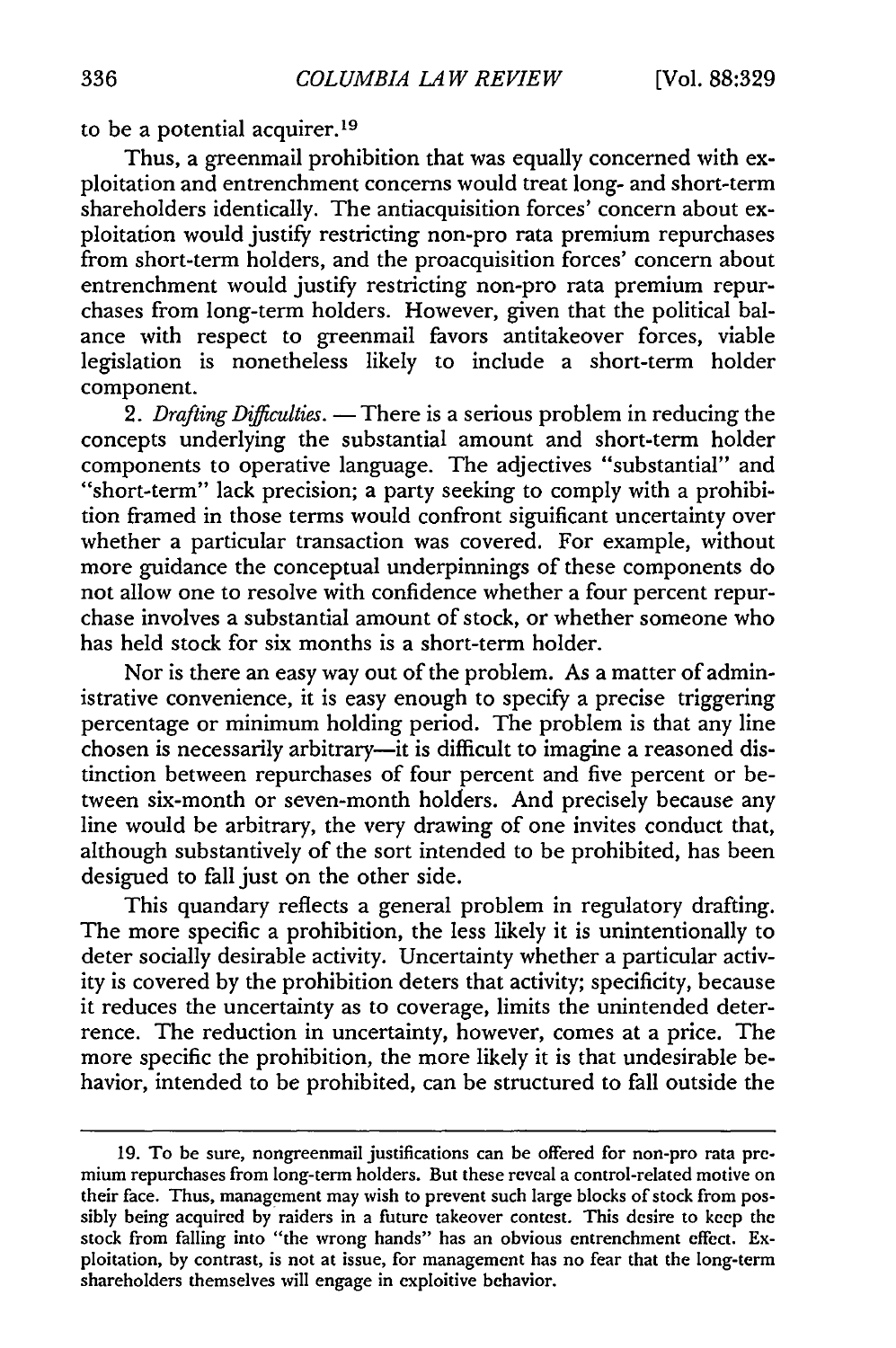to be a potential acquirer.<sup>19</sup>

Thus, a greenmail prohibition that was equally concerned with exploitation and entrenchment concerns would treat long- and short-term shareholders identically. The antiacquisition forces' concern about exploitation would justify restricting non-pro rata premium repurchases from short-term holders, and the proacquisition forces' concern about entrenchment would justify restricting non-pro rata premium repurchases from long-term holders. However, given that the political balance with respect to greenmail favors antitakeover forces, viable legislation is nonetheless likely to include a short-term holder component.

*2. Drafting Difficulties.* **-** There is a serious problem in reducing the concepts underlying the substantial amount and short-term holder components to operative language. The adjectives "substantial" and "short-term" lack precision; a party seeking to comply with a prohibition framed in those terms would confront significant uncertainty over whether a particular transaction was covered. For example, without more guidance the conceptual underpinnings of these components do not allow one to resolve with confidence whether a four percent repurchase involves a substantial amount of stock, or whether someone who has held stock for six months is a short-term holder.

Nor is there an easy way out of the problem. As a matter of administrative convenience, it is easy enough to specify a precise triggering percentage or minimum holding period. The problem is that any line chosen is necessarily arbitrary—it is difficult to imagine a reasoned distinction between repurchases of four percent and five percent or between six-month or seven-month holders. And precisely because any line would be arbitrary, the very drawing of one invites conduct that, although substantively of the sort intended to be prohibited, has been designed to fall just on the other side.

This quandary reflects a general problem in regulatory drafting. The more specific a prohibition, the less likely it is unintentionally to deter socially desirable activity. Uncertainty whether a particular activity is covered by the prohibition deters that activity; specificity, because it reduces the uncertainty as to coverage, limits the unintended deterrence. The reduction in uncertainty, however, comes at a price. The more specific the prohibition, the more likely it is that undesirable behavior, intended to be prohibited, can be structured to fall outside the

<sup>19.</sup> To be sure, nongreenmail justifications can be offered for non-pro rata premium repurchases from long-term holders. But these reveal a control-related motive on their face. Thus, management may wish to prevent such large blocks of stock from possibly being acquired by raiders in a future takeover contest. This desire to keep the stock from falling into "the wrong hands" has an obvious entrenchment effect. Exploitation, by contrast, is not at issue, for management has no fear that the long-term shareholders themselves will engage in exploitive behavior.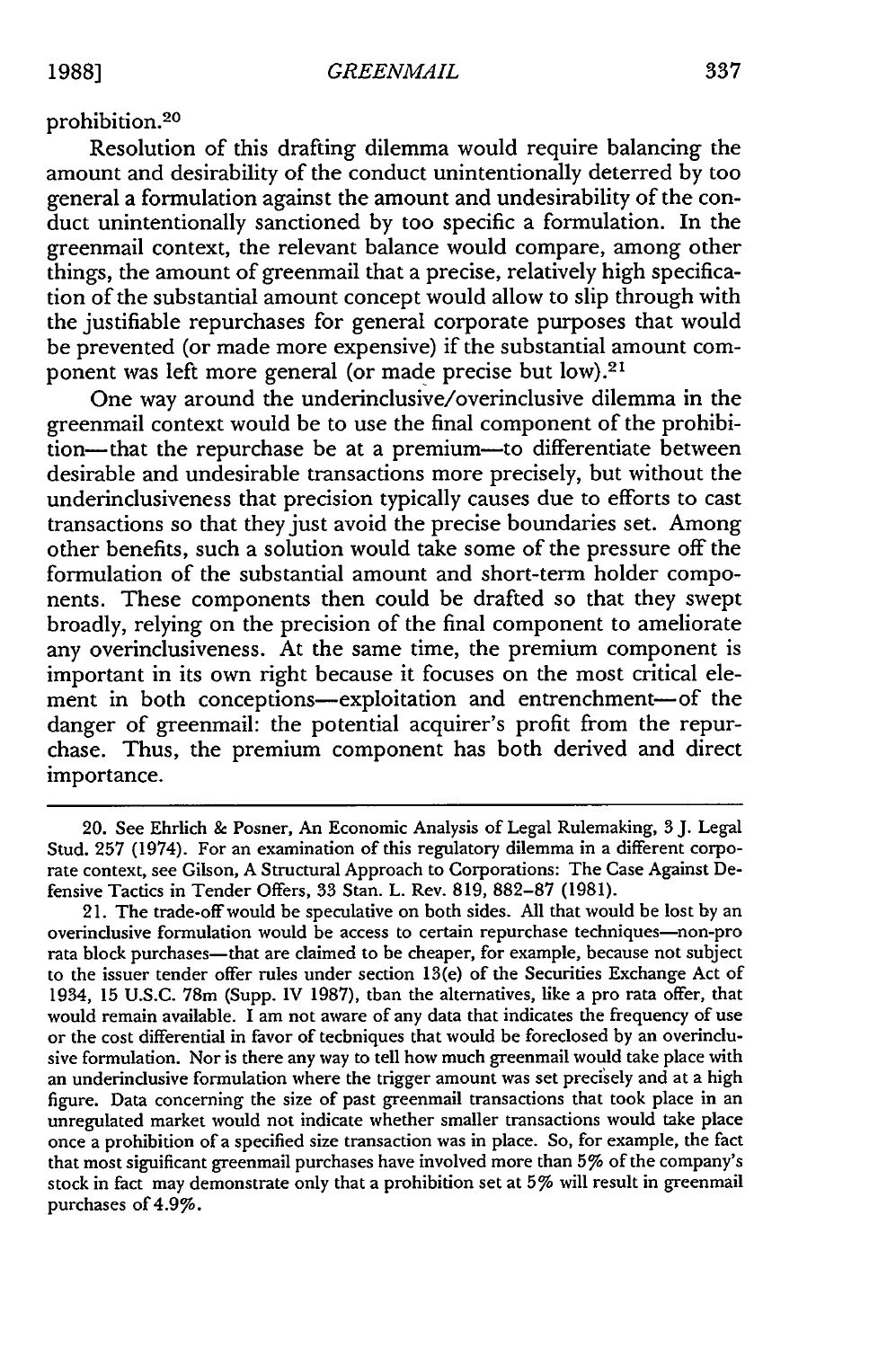## prohibition. <sup>20</sup>

Resolution of this drafting dilemma would require balancing the amount and desirability of the conduct unintentionally deterred by too general a formulation against the amount and undesirability of the conduct unintentionally sanctioned by too specific a formulation. In the greenmail context, the relevant balance would compare, among other things, the amount of greenmail that a precise, relatively high specification of the substantial amount concept would allow to slip through with the justifiable repurchases for general corporate purposes that would be prevented (or made more expensive) if the substantial amount component was left more general (or made precise but low).<sup>21</sup>

One way around the underinclusive/overinclusive dilemma in the greenmail context would be to use the final component of the prohibition-that the repurchase be at a premium-to differentiate between desirable and undesirable transactions more precisely, but without the underinclusiveness that precision typically causes due to efforts to cast transactions so that they just avoid the precise boundaries set. Among other benefits, such a solution would take some of the pressure off the formulation of the substantial amount and short-term holder components. These components then could be drafted so that they swept broadly, relying on the precision of the final component to ameliorate any overinclusiveness. At the same time, the premium component is important in its own right because it focuses on the most critical element in both conceptions-exploitation and entrenchment-of the danger of greenmail: the potential acquirer's profit from the repurchase. Thus, the premium component has both derived and direct importance.

<sup>20.</sup> See Ehrlich & Posner, An Economic Analysis of Legal Rulemaking, 3 J. Legal Stud. 257 (1974). For an examination of this regulatory dilemma in a different corporate context, see Gilson, A Structural Approach to Corporations: The Case Against Defensive Tactics in Tender Offers, 33 Stan. L. Rev. 819, 882-87 (1981).

<sup>21.</sup> The trade-off would be speculative on both sides. All that would be lost by an overinclusive formulation would be access to certain repurchase techniques-non-pro rata block purchases-that are claimed to be cheaper, for example, because not subject to the issuer tender offer rules under section 13(e) of the Securities Exchange Act of 1934, 15 U.S.C. 78m (Supp. IV 1987), than the alternatives, like a pro rata offer, that would remain available. I am not aware of any data that indicates the frequency of use or the cost differential in favor of techniques that would be foreclosed by an overinclusive formulation. Nor is there any way to tell how much greenmail would take place with an underinclusive formulation where the trigger amount was set precisely and at a high figure. Data concerning the size of past greenmail transactions that took place in an unregulated market would not indicate whether smaller transactions would take place once a prohibition of a specified size transaction was in place. So, for example, the fact that most siguificant greenmail purchases have involved more than 5% of the company's stock in fact may demonstrate only that a prohibition set at 5% will result in greenmail purchases of 4.9%.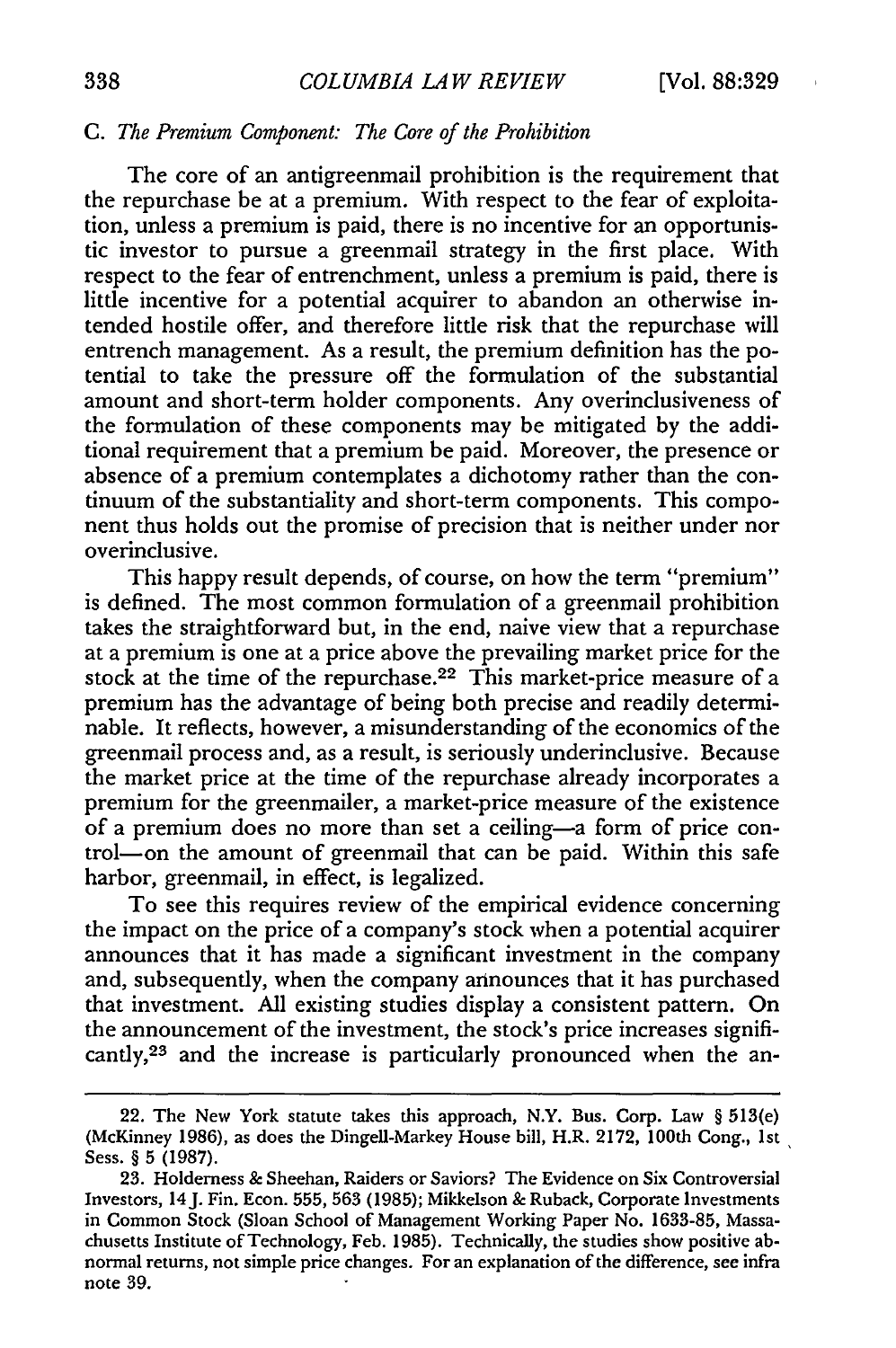#### *C. The Premium Component: The Core of the Prohibition*

The core of an antigreenmail prohibition is the requirement that the repurchase be at a premium. With respect to the fear of exploitation, unless a premium is paid, there is no incentive for an opportunistic investor to pursue a greenmail strategy in the first place. With respect to the fear of entrenchment, unless a premium is paid, there is little incentive for a potential acquirer to abandon an otherwise intended hostile offer, and therefore little risk that the repurchase will entrench management. As a result, the premium definition has the potential to take the pressure off the formulation of the substantial amount and short-term holder components. Any overinclusiveness of the formulation of these components may be mitigated by the additional requirement that a premium be paid. Moreover, the presence or absence of a premium contemplates a dichotomy rather than the continuum of the substantiality and short-term components. This component thus holds out the promise of precision that is neither under nor overinclusive.

This happy result depends, of course, on how the term "premium" is defined. The most common formulation of a greenmail prohibition takes the straightforward but, in the end, naive view that a repurchase at a premium is one at a price above the prevailing market price for the stock at the time of the repurchase.<sup>22</sup> This market-price measure of a premium has the advantage of being both precise and readily determinable. It reflects, however, a misunderstanding of the economics of the greenmail process and, as a result, is seriously underinclusive. Because the market price at the time of the repurchase already incorporates a premium for the greenmailer, a market-price measure of the existence of a premium does no more than set a ceiling--a form of price control-on the amount of greenmail that can be paid. Within this safe harbor, greenmail, in effect, is legalized.

To see this requires review of the empirical evidence concerning the impact on the price of a company's stock when a potential acquirer announces that it has made a significant investment in the company and, subsequently, when the company announces that it has purchased that investment. All existing studies display a consistent pattern. On the announcement of the investment, the stock's price increases significantly,<sup>23</sup> and the increase is particularly pronounced when the an-

<sup>22.</sup> The New York statute takes this approach, N.Y. Bus. Corp. Law § 513(e) (McKinney 1986), as does the Dingell-Markey House bill, H.R. 2172, 100th Cong., 1st Sess. § 5 (1987).

<sup>23.</sup> Holderness & Sheehan, Raiders or Saviors? The Evidence on Six Controversial Investors, 14J. Fin. Econ. 555, 563 (1985); Mikkelson & Ruback, Corporate Investments in Common Stock (Sloan School of Management Working Paper No. 1633-85, Massachusetts Institute of Technology, Feb. 1985). Technically, the studies show positive abnormal returns, not simple price changes. For an explanation of the difference, see infra note 39.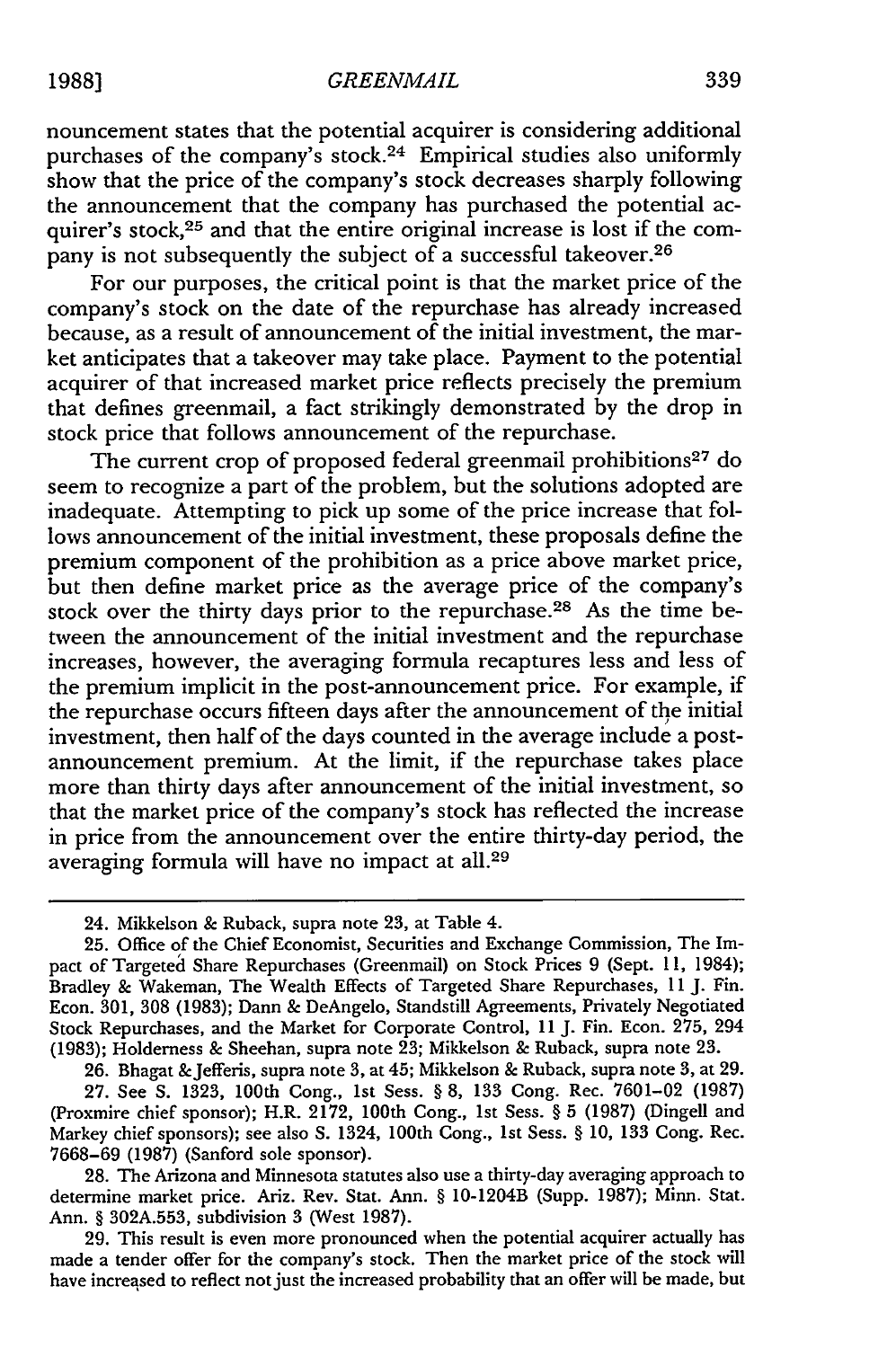nouncement states that the potential acquirer is considering additional purchases of the company's stock.<sup>24</sup> Empirical studies also uniformly show that the price of the company's stock decreases sharply following the announcement that the company has purchased the potential acquirer's stock,<sup>25</sup> and that the entire original increase is lost if the company is not subsequently the subject of a successful takeover.<sup>26</sup>

For our purposes, the critical point is that the market price of the company's stock on the date of the repurchase has already increased because, as a result of announcement of the initial investment, the market anticipates that a takeover may take place. Payment to the potential acquirer of that increased market price reflects precisely the premium that defines greenmail, a fact strikingly demonstrated by the drop in stock price that follows announcement of the repurchase.

The current crop of proposed federal greenmail prohibitions<sup>27</sup> do seem to recognize a part of the problem, but the solutions adopted are inadequate. Attempting to pick up some of the price increase that follows announcement of the initial investment, these proposals define the premium component of the prohibition as a price above market price, but then define market price as the average price of the company's stock over the thirty days prior to the repurchase.<sup>28</sup> As the time between the announcement of the initial investment and the repurchase increases, however, the averaging formula recaptures less and less of the premium implicit in the post-announcement price. For example, if the repurchase occurs fifteen days after the announcement of the initial investment, then half of the days counted in the average include a postannouncement premium. At the limit, if the repurchase takes place more than thirty days after announcement of the initial investment, so that the market price of the company's stock has reflected the increase in price from the announcement over the entire thirty-day period, the averaging formula will have no impact at all.<sup>29</sup>

26. Bhagat &Jefferis, supra note 3, at 45; Mikkelson & Ruback, supra note 3, at 29.

27. See **S.** 1323, 100th Cong., Ist Sess. § 8, 133 Cong. Rec. 7601-02 (1987) (Proxmire chief sponsor); H.R. 2172, 100th Cong., 1st Sess. § 5 (1987) (Dingell and Markey chief sponsors); see also **S.** 1324, 100th Cong., 1st Sess. § 10, 133 Cong. Rec. 7668-69 (1987) (Sanford sole sponsor).

28. The Arizona and Minnesota statutes also use a thirty-day averaging approach to determine market price. Ariz. Rev. Stat. Ann. § I0-1204B (Supp. 1987); Minn. Stat. Ann. § 302A.553, subdivision 3 (West 1987).

29. This result is even more pronounced when the potential acquirer actually has made a tender offer for the company's stock. Then the market price of the stock will have increased to reflect not just the increased probability that an offer will be made, but

<sup>24.</sup> Mikkelson & Ruback, supra note 23, at Table 4.

<sup>25.</sup> Office of the Chief Economist, Securities and Exchange Commission, The Impact of Targeted Share Repurchases (Greenmail) on Stock Prices 9 (Sept. 11, 1984); Bradley & Wakeman, The Wealth Effects of Targeted Share Repurchases, 11 J. Fin. Econ. 301, 308 (1983); Dann & DeAngelo, Standstill Agreements, Privately Negotiated Stock Repurchases, and the Market for Corporate Control, 11 J. Fin. Econ. 275, 294 (1983); Holderness & Sheehan, supra note 23; Mikkelson & Ruback, supra note 23.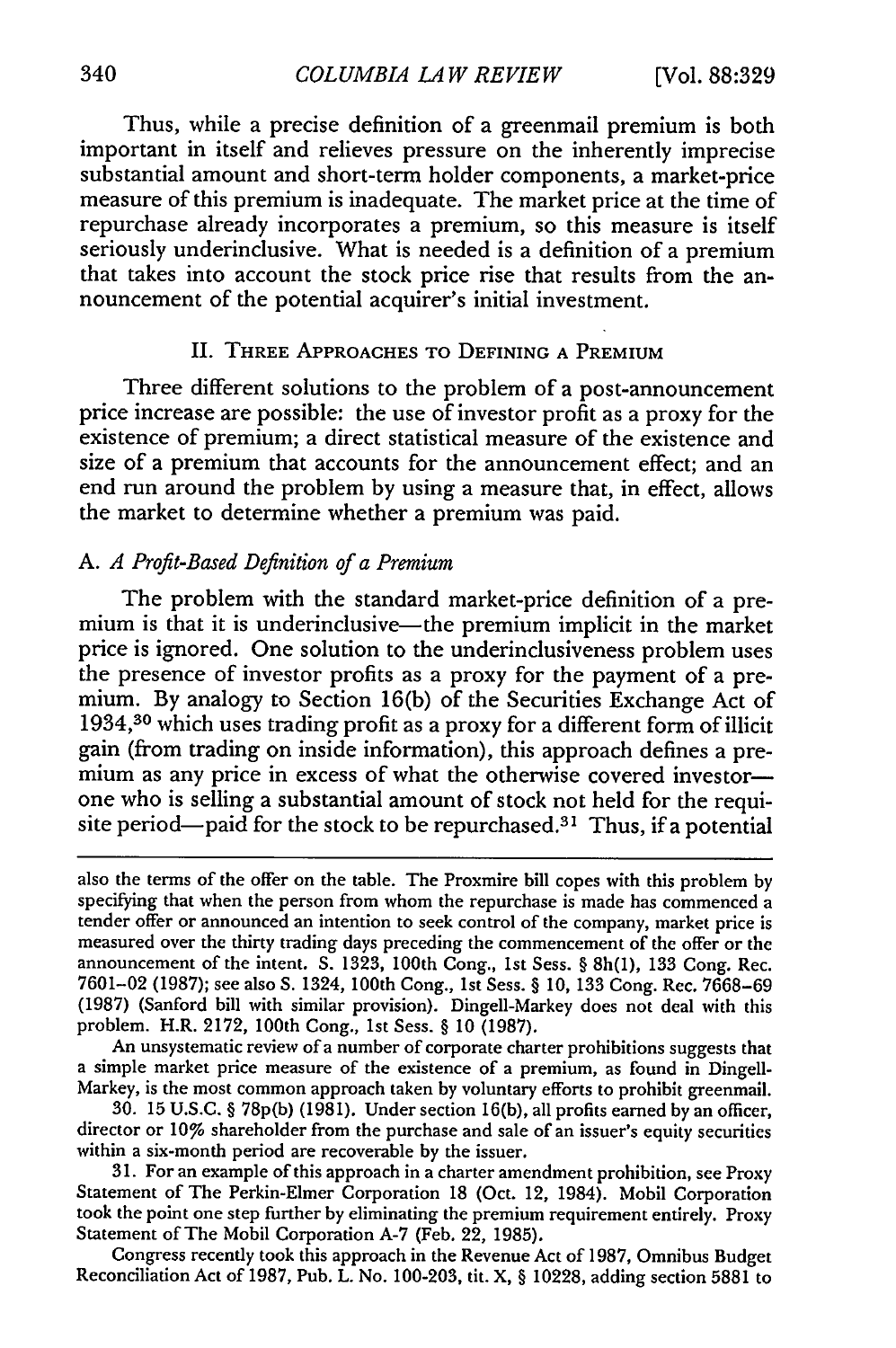Thus, while a precise definition of a greenmail premium is both important in itself and relieves pressure on the inherently imprecise substantial amount and short-term holder components, a market-price measure of this premium is inadequate. The market price at the time of repurchase already incorporates a premium, so this measure is itself seriously underinclusive. What is needed is a definition of a premium that takes into account the stock price rise that results from the announcement of the potential acquirer's initial investment.

## **II. THREE APPROACHES** TO **DEFINING A** PREMIUM

Three different solutions to the problem of a post-announcement price increase are possible: the use of investor profit as a proxy for the existence of premium; a direct statistical measure of the existence and size of a premium that accounts for the announcement effect; and an end run around the problem by using a measure that, in effect, allows the market to determine whether a premium was paid.

## A. *A Profit-Based Definition of a Premium*

The problem with the standard market-price definition of a premium is that it is underinclusive—the premium implicit in the market price is ignored. One solution to the underinclusiveness problem uses the presence of investor profits as a proxy for the payment of a premium. By analogy to Section 16(b) of the Securities Exchange Act of 1934,30 which uses trading profit as a proxy for a different form of illicit gain (from trading on inside information), this approach defines a premium as any price in excess of what the otherwise covered investorone who is selling a substantial amount of stock not held for the requisite period—paid for the stock to be repurchased.<sup>31</sup> Thus, if a potential

An unsystematic review of a number of corporate charter prohibitions suggests that a simple market price measure of the existence of a premium, as found in Dingell-Markey, is the most common approach taken by voluntary efforts to prohibit greenmail.

30. 15 U.S.C. § 78p(b) (1981). Under section 16(b), all profits earned by an officer, director or 10% shareholder from the purchase and sale of an issuer's equity securities within a six-month period are recoverable by the issuer.

31. For an example of this approach in a charter amendment prohibition, see Proxy Statement of The Perkin-Elmer Corporation 18 (Oct. 12, 1984). Mobil Corporation took the point one step further by eliminating the premium requirement entirely. Proxy Statement of The Mobil Corporation A-7 (Feb. 22, 1985).

Congress recently took this approach in the Revenue Act of 1987, Omnibus Budget Reconciliation Act of 1987, Pub. L. No. 100-203, tit. X, § 10228, adding section 5881 to

also the terms of the offer on the table. The Proxmire bill copes with this problem by specifying that when the person from whom the repurchase is made has commenced a tender offer or announced an intention to seek control of the company, market price is measured over the thirty trading days preceding the commencement of the offer or the announcement of the intent. **S.** 1323, 100th Cong., 1st Sess. § 8h(l), 133 Cong. Rec. 7601-02 (1987); see also **S.** 1324, 100th Cong., 1st Sess. § 10, 133 Cong. Rec. 7668-69 (1987) (Sanford bill with similar provision). Dingell-Markey does not deal with this problem. H.R. 2172, 100th Cong., Ist Sess. § 10 (1987).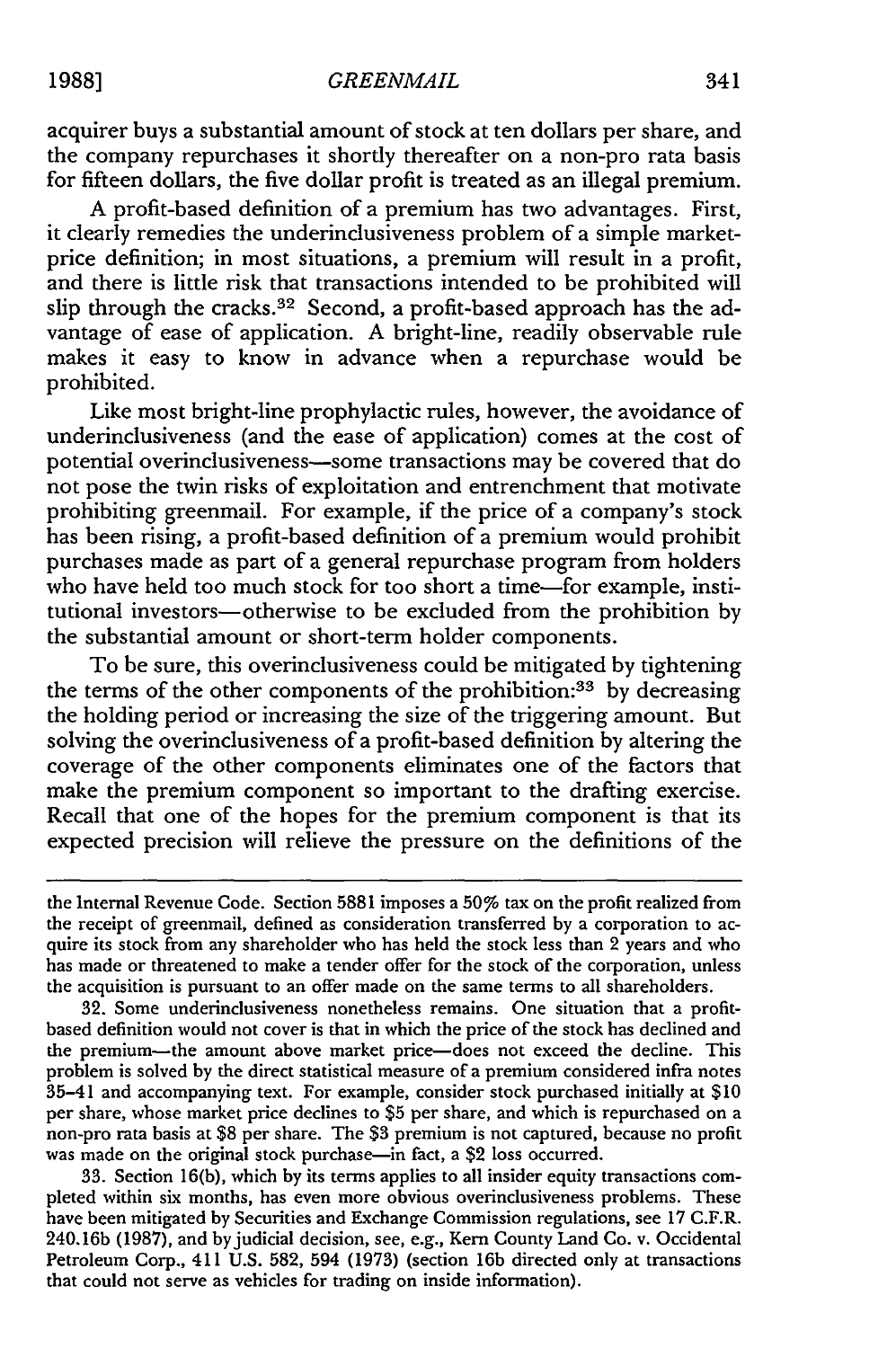acquirer buys a substantial amount of stock at ten dollars per share, and the company repurchases it shortly thereafter on a non-pro rata basis for fifteen dollars, the five dollar profit is treated as an illegal premium.

A profit-based definition of a premium has two advantages. First, it clearly remedies the underinclusiveness problem of a simple marketprice definition; in most situations, a premium will result in a profit, and there is little risk that transactions intended to be prohibited will slip through the cracks.<sup>32</sup> Second, a profit-based approach has the advantage of ease of application. A bright-line, readily observable rule makes it easy to know in advance when a repurchase would be prohibited.

Like most bright-line prophylactic rules, however, the avoidance of underinclusiveness (and the ease of application) comes at the cost of potential overinclusiveness-some transactions may be covered that do not pose the twin risks of exploitation and entrenchment that motivate prohibiting greenmail. For example, if the price of a company's stock has been rising, a profit-based definition of a premium would prohibit purchases made as part of a general repurchase program from holders who have held too much stock for too short a time-for example, institutional investors- otherwise to be excluded from the prohibition by the substantial amount or short-term holder components.

To be sure, this overinclusiveness could be mitigated by tightening the terms of the other components of the prohibition:<sup>33</sup> by decreasing the holding period or increasing the size of the triggering amount. But solving the overinclusiveness of a profit-based definition by altering the coverage of the other components eliminates one of the factors that make the premium component so important to the drafting exercise. Recall that one of the hopes for the premium component is that its expected precision will relieve the pressure on the definitions of the

32. Some underinclusiveness nonetheless remains. One situation that a profitbased definition would not cover is that in which the price of the stock has declined and the premium-the amount above market price-does not exceed the decline. This problem is solved by the direct statistical measure of a premium considered infra notes 35-41 and accompanying text. For example, consider stock purchased initially at **\$10** per share, whose market price declines to \$5 per share, and which is repurchased on a non-pro rata basis at \$8 per share. The \$3 premium is not captured, because no profit was made on the original stock purchase—in fact, a \$2 loss occurred.

33. Section 16(b), which by its terms applies to all insider equity transactions completed within six months, has even more obvious overinclusiveness problems. These have been mitigated by Securities and Exchange Commission regulations, see 17 C.F.R. 240.16b (1987), and by judicial decision, see, e.g., Kern County Land Co. v. Occidental Petroleum Corp., 411 U.S. 582, 594 (1973) (section 16b directed only at transactions that could not serve as vehicles for trading on inside information).

the Internal Revenue Code. Section 5881 imposes a  $50\%$  tax on the profit realized from the receipt of greenmail, defined as consideration transferred by a corporation to acquire its stock from any shareholder who has held the stock less than 2 years and who has made or threatened to make a tender offer for the stock of the corporation, unless the acquisition is pursuant to an offer made on the same terms to all shareholders.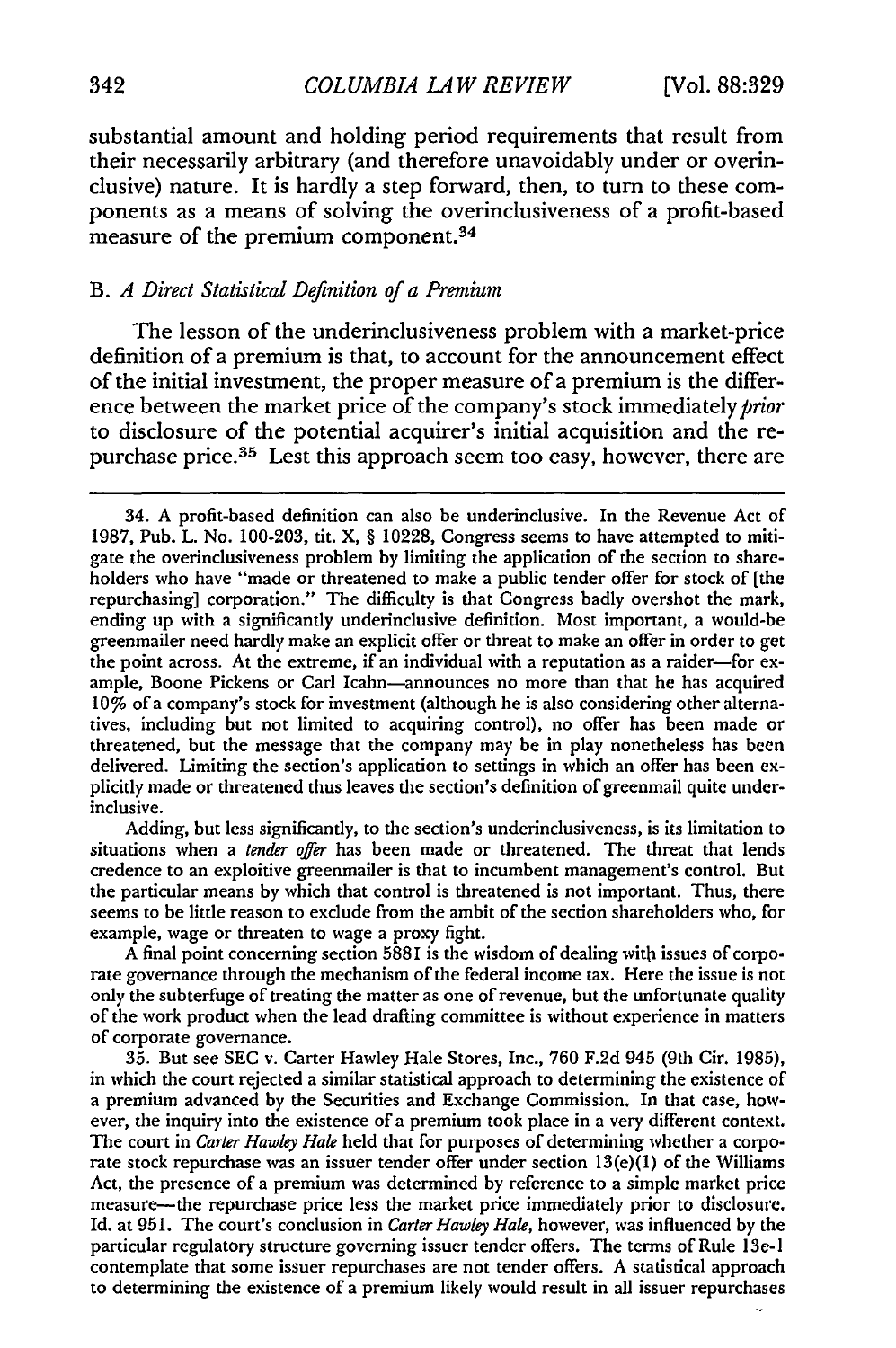substantial amount and holding period requirements that result from their necessarily arbitrary (and therefore unavoidably under or overinclusive) nature. It is hardly a step forward, then, to turn to these components as a means of solving the overinclusiveness of a profit-based measure of the premium component.<sup>34</sup>

## B. *A Direct Statistical Definition of a Premium*

The lesson of the underinclusiveness problem with a market-price definition of a premium is that, to account for the announcement effect of the initial investment, the proper measure of a premium is the difference between the market price of the company's stock immediately prior to disclosure of the potential acquirer's initial acquisition and the repurchase price.<sup>35</sup> Lest this approach seem too easy, however, there are

Adding, but less significantly, to the section's underinclusiveness, is its limitation to situations when a *tender offer* has been made or threatened. The threat that lends credence to an exploitive greenmailer is that to incumbent management's control. But the particular means by which that control is threatened is not important. Thus, there seems to be little reason to exclude from the ambit of the section shareholders who, for example, wage or threaten to wage a proxy fight.

A final point concerning section 5881 is the wisdom of dealing with issues of corporate governance through the mechanism of the federal income tax. Here the issue is not only the subterfuge of treating the matter as one of revenue, but the unfortunate quality of the work product when the lead drafting committee is without experience in matters of corporate governance.

35. But see **SEC** v. Carter Hawley Hale Stores, Inc., 760 F.2d 945 (9th Cir. 1985), in which the court rejected a similar statistical approach to determining the existence of a premium advanced by the Securities and Exchange Commission. In that case, however, the inquiry into the existence of a premium took place in a very different context. The court in *Carter Hawley Hale* held that for purposes of determining whether a corporate stock repurchase was an issuer tender offer under section 13(e)(1) of the Williams Act, the presence of a premium was determined by reference to a simple market price measure-the repurchase price less the market price immediately prior to disclosure. Id. at 951. The court's conclusion in *Carter Hawley Hale,* however, was influenced by the particular regulatory structure governing issuer tender offers. The terms of Rule 13e- I contemplate that some issuer repurchases are not tender offers. A statistical approach to determining the existence of a premium likely would result in all issuer repurchases

<sup>34.</sup> A profit-based definition can also be underinclusive. In the Revenue Act of 1987, Pub. L. No. 100-203, tit. X, § 10228, Congress seems to have attempted to mitigate the overinclusiveness problem by limiting the application of the section to shareholders who have "made or threatened to make a public tender offer for stock of [the repurchasing] corporation." The difficulty is that Congress badly overshot the mark, ending up with a significantly underinclusive definition. Most important, a would-be greenmailer need hardly make an explicit offer or threat to make an offer in order to get the point across. At the extreme, if an individual with a reputation as a raider-for example, Boone Pickens or Carl Icahn-announces no more than that he has acquired 10% of a company's stock for investment (although he is also considering other alternatives, including but not limited to acquiring control), no offer has been made or threatened, but the message that the company may be in play nonetheless has been delivered. Limiting the section's application to settings in which an offer has been explicitly made or threatened thus leaves the section's definition of greenmail quite underinclusive.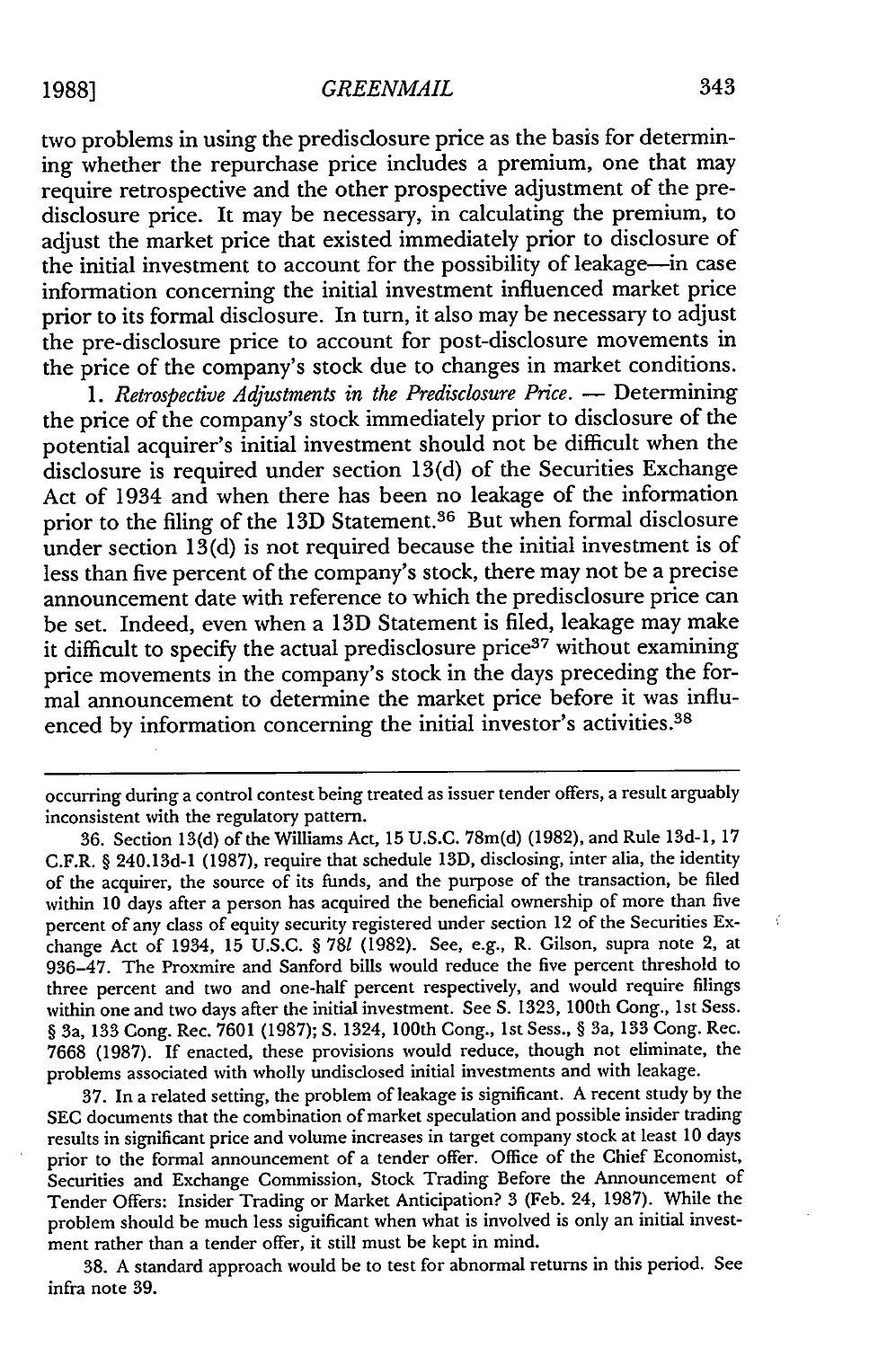#### *GREENMAIL*

two problems in using the predisclosure price as the basis for determining whether the repurchase price includes a premium, one that may require retrospective and the other prospective adjustment of the predisclosure price. It may be necessary, in calculating the premium, to adjust the market price that existed immediately prior to disclosure of the initial investment to account for the possibility of leakage-in case information concerning the initial investment influenced market price prior to its formal disclosure. In turn, it also may be necessary to adjust the pre-disclosure price to account for post-disclosure movements in the price of the company's stock due to changes in market conditions.

*1. Retrospective Adjustments in the Predisclosure Price.* **-** Determining the price of the company's stock immediately prior to disclosure of the potential acquirer's initial investment should not be difficult when the disclosure is required under section 13(d) of the Securities Exchange Act of 1934 and when there has been no leakage of the information prior to the filing of the 13D Statement.<sup>36</sup> But when formal disclosure under section  $13(d)$  is not required because the initial investment is of less than five percent of the company's stock, there may not be a precise announcement date with reference to which the predisclosure price can be set. Indeed, even when a 13D Statement is filed, leakage may make it difficult to specify the actual predisclosure price<sup>37</sup> without examining price movements in the company's stock in the days preceding the formal announcement to determine the market price before it was influenced by information concerning the initial investor's activities.<sup>38</sup>

37. In a related setting, the problem of leakage is significant. A recent study by the SEC documents that the combination of market speculation and possible insider trading results in significant price and volume increases in target company stock at least 10 days prior to the formal announcement of a tender offer. Office of the Chief Economist, Securities and Exchange Commission, Stock Trading Before the Announcement of Tender Offers: Insider Trading or Market Anticipation? 3 (Feb. 24, 1987). While the problem should be much less siguificant when what is involved is only an initial investment rather than a tender offer, it still must be kept in mind.

38. A standard approach would be to test for abnormal returns in this period. See infra note 39.

 $\hat{t}$ 

occurring during a control contest being treated as issuer tender offers, a result arguably inconsistent with the regulatory pattern.

**<sup>36.</sup>** Section 13(d) of the Williams Act, 15 U.S.C. 78m(d) (1982), and Rule 13d-l, 17 C.F.R. § 240.13d-1 (1987), require that schedule 13D, disclosing, inter alia, the identity of the acquirer, the source of its funds, and the purpose of the transaction, be filed within 10 days after a person has acquired the beneficial ownership of more than five percent of any class of equity security registered under section 12 of the Securities Exchange Act of 1934, 15 U.S.C. § **781** (1982). See, e.g., R. Gilson, supra note 2, at 936-47. The Proxmire and Sanford bills would reduce the five percent threshold to three percent and two and one-half percent respectively, and would require filings within one and two days after the initial investment. See **S. 1323,** 100th Cong., **Ist** Sess. § 3a, 133 Cong. Rec. 7601 **(1987); S.** 1324, 100th Cong., 1st Sess., § 3a, 133 Cong. Rec. 7668 (1987). If enacted, these provisions would reduce, though not eliminate, the problems associated with wholly undisclosed initial investments and with leakage.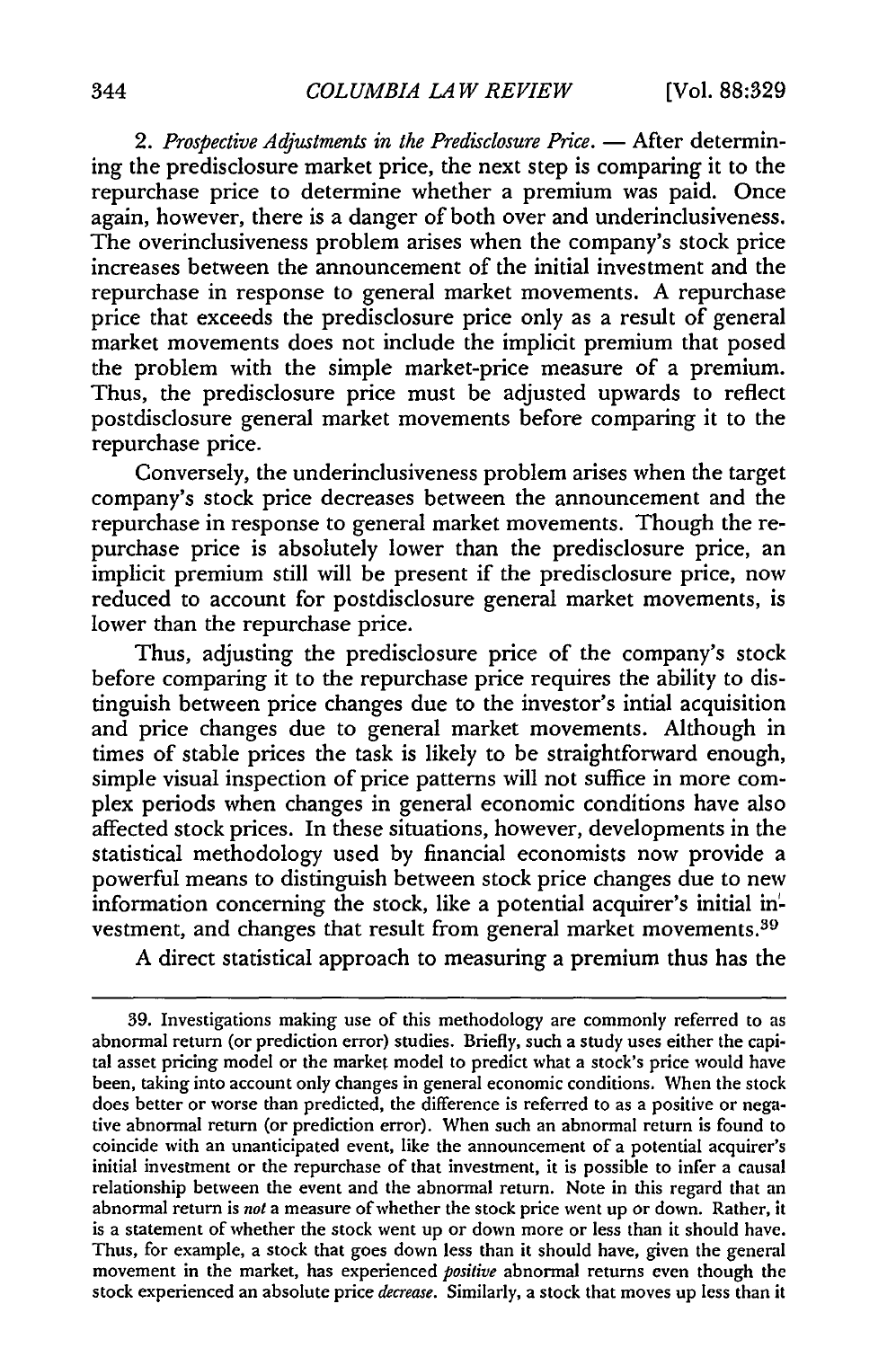2. Prospective Adjustments in the Predisclosure Price. **—** After determining the predisclosure market price, the next step is comparing it to the repurchase price to determine whether a premium was paid. Once again, however, there is a danger of both over and underinclusiveness. The overinclusiveness problem arises when the company's stock price increases between the announcement of the initial investment and the repurchase in response to general market movements. A repurchase price that exceeds the predisclosure price only as a result of general market movements does not include the implicit premium that posed the problem with the simple market-price measure of a premium. Thus, the predisclosure price must be adjusted upwards to reflect postdisclosure general market movements before comparing it to the repurchase price.

Conversely, the underinclusiveness problem arises when the target company's stock price decreases between the announcement and the repurchase in response to general market movements. Though the repurchase price is absolutely lower than the predisclosure price, an implicit premium still will be present if the predisclosure price, now reduced to account for postdisclosure general market movements, is lower than the repurchase price.

Thus, adjusting the predisclosure price of the company's stock before comparing it to the repurchase price requires the ability to distinguish between price changes due to the investor's intial acquisition and price changes due to general market movements. Although in times of stable prices the task is likely to be straightforward enough, simple visual inspection of price patterns will not suffice in more complex periods when changes in general economic conditions have also affected stock prices. In these situations, however, developments in the statistical methodology used by financial economists now provide a powerful means to distinguish between stock price changes due to new information concerning the stock, like a potential acquirer's initial in' vestment, and changes that result from general market movements.<sup>39</sup>

A direct statistical approach to measuring a premium thus has the

<sup>39.</sup> Investigations making use of this methodology are commonly referred to as abnormal return (or prediction error) studies. Briefly, such a study uses either the capital asset pricing model or the market model to predict what a stock's price would have been, taking into account only changes in general economic conditions. When the stock does better or worse than predicted, the difference is referred to as a positive or negative abnormal return (or prediction error). When such an abnormal return is found to coincide with an unanticipated event, like the announcement of a potential acquirer's initial investment or the repurchase of that investment, it is possible to infer a causal relationship between the event and the abnormal return. Note in this regard that an abnormal return is *not* a measure of whether the stock price went up or down. Rather, it is a statement of whether the stock went up or down more or less than it should have. Thus, for example, a stock that goes down less than it should have, given the general movement in the market, has experienced *positive* abnormal returns even though the stock experienced an absolute price *decrease.* Similarly, a stock that moves up less than it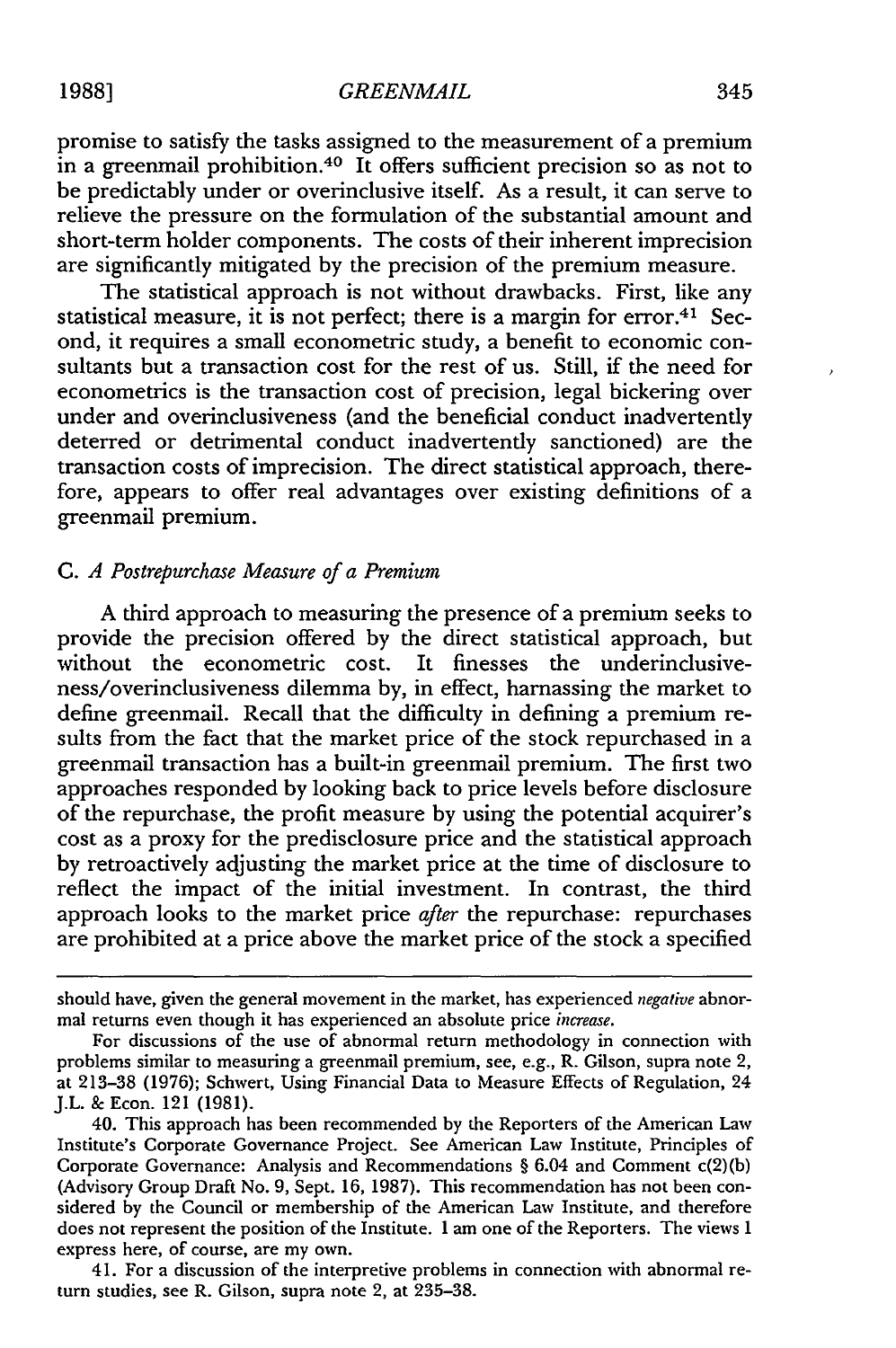promise to satisfy the tasks assigned to the measurement of a premium in a greenmail prohibition.<sup>40</sup> It offers sufficient precision so as not to be predictably under or overinclusive itself. As a result, it can serve to relieve the pressure on the formulation of the substantial amount and short-term holder components. The costs of their inherent imprecision are significantly mitigated by the precision of the premium measure.

The statistical approach is not without drawbacks. First, like any statistical measure, it is not perfect; there is a margin for error.<sup>41</sup> Second, it requires a small econometric study, a benefit to economic consultants but a transaction cost for the rest of us. Still, if the need for econometrics is the transaction cost of precision, legal bickering over under and overinclusiveness (and the beneficial conduct inadvertently deterred or detrimental conduct inadvertently sanctioned) are the transaction costs of imprecision. The direct statistical approach, therefore, appears to offer real advantages over existing definitions of a greenmail premium.

## *C. A Postrepurchase Measure of a Premium*

A third approach to measuring the presence of a premium seeks to provide the precision offered by the direct statistical approach, but without the econometric cost. It finesses the underinclusiveness/overinclusiveness dilemma by, in effect, harnassing the market to define greenmail. Recall that the difficulty in defining a premium results from the fact that the market price of the stock repurchased in a greenmail transaction has a built-in greenmail premium. The first two approaches responded by looking back to price levels before disclosure of the repurchase, the profit measure by using the potential acquirer's cost as a proxy for the predisclosure price and the statistical approach by retroactively adjusting the market price at the time of disclosure to reflect the impact of the initial investment. In contrast, the third approach looks to the market price after the repurchase: repurchases are prohibited at a price above the market price of the stock a specified

 $\lambda$ 

should have, given the general movement in the market, has experienced *negative* abnormal returns even though it has experienced an absolute price *increase.*

For discussions of the use of abnormal return methodology in connection with problems similar to measuring a greenmail premium, see, e.g., R. Gilson, supra note 2, at 213-38 (1976); Schwert, Using Financial Data to Measure Effects of Regulation, 24 J.L. & Econ. 121 (1981).

<sup>40.</sup> This approach has been recommended by the Reporters of the American Law Institute's Corporate Governance Project. See American Law Institute, Principles of Corporate Governance: Analysis and Recommendations § 6.04 and Comment c(2)(b) (Advisory Group Draft No. 9, Sept. 16, 1987). This recommendation has not been considered by the Council or membership of the American Law Institute, and therefore does not represent the position of the Institute. I am one of the Reporters. The views I express here, of course, are my own.

<sup>41.</sup> For a discussion of the interpretive problems in connection with abnormal return studies, see R. Gilson, supra note 2, at 235-38.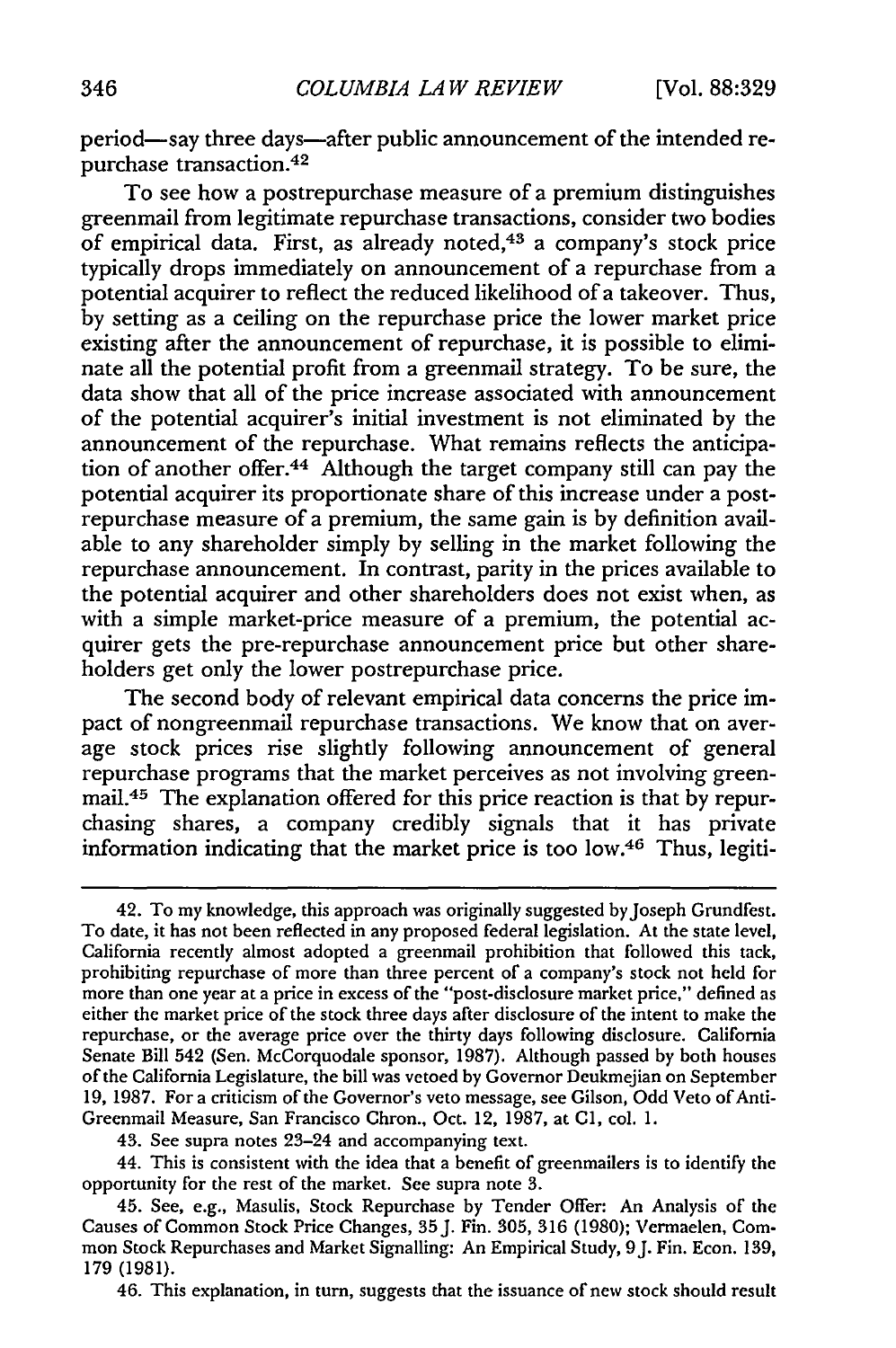period-say three days-after public announcement of the intended repurchase transaction. <sup>42</sup>

To see how a postrepurchase measure of a premium distinguishes greenmail from legitimate repurchase transactions, consider two bodies of empirical data. First, as already noted,<sup>43</sup> a company's stock price typically drops immediately on announcement of a repurchase from a potential acquirer to reflect the reduced likelihood of a takeover. Thus, by setting as a ceiling on the repurchase price the lower market price existing after the announcement of repurchase, it is possible to eliminate all the potential profit from a greenmail strategy. To be sure, the data show that all of the price increase associated with announcement of the potential acquirer's initial investment is not eliminated by the announcement of the repurchase. What remains reflects the anticipation of another offer.<sup>44</sup> Although the target company still can pay the potential acquirer its proportionate share of this increase under a postrepurchase measure of a premium, the same gain is by definition available to any shareholder simply by selling in the market following the repurchase announcement. In contrast, parity in the prices available to the potential acquirer and other shareholders does not exist when, as with a simple market-price measure of a premium, the potential acquirer gets the pre-repurchase announcement price but other shareholders get only the lower postrepurchase price.

The second body of relevant empirical data concerns the price impact of nongreenmail repurchase transactions. We know that on average stock prices rise slightly following announcement of general repurchase programs that the market perceives as not involving greenmail.45 The explanation offered for this price reaction is that by repurchasing shares, a company credibly signals that it has private information indicating that the market price is too low. 46 Thus, legiti-

43. See supra notes 23-24 and accompanying text.

44. This is consistent with the idea that a benefit of greenmailers is to identify the opportunity for the rest of the market. See supra note 3.

46. This explanation, in turn, suggests that the issuance of new stock should result

<sup>42.</sup> To my knowledge, this approach was originally suggested by Joseph Grundfest. To date, it has not been reflected in any proposed federal legislation. At the state level, California recently almost adopted a greenmail prohibition that followed this tack, prohibiting repurchase of more than three percent of a company's stock not held for more than one year at a price in excess of the "post-disclosure market price," defined as either the market price of the stock three days after disclosure of the intent to make the repurchase, or the average price over the thirty days following disclosure. California Senate Bill 542 (Sen. McCorquodale sponsor, 1987). Although passed by both houses of the California Legislature, the bill was vetoed by Governor Deukmejian on September 19, 1987. For a criticism of the Governor's veto message, see Gilson, Odd Veto of Anti-Greenmail Measure, San Francisco Chron., Oct. 12, 1987, at Cl, col. I.

<sup>45.</sup> See, e.g., Masulis, Stock Repurchase by Tender Offer: An Analysis of the Causes of Common Stock Price Changes, 35J. Fin. 305, 316 (1980); Vermaelen, Common Stock Repurchases and Market Signalling: An Empirical Study, 9J. Fin. Econ. 139, 179 (1981).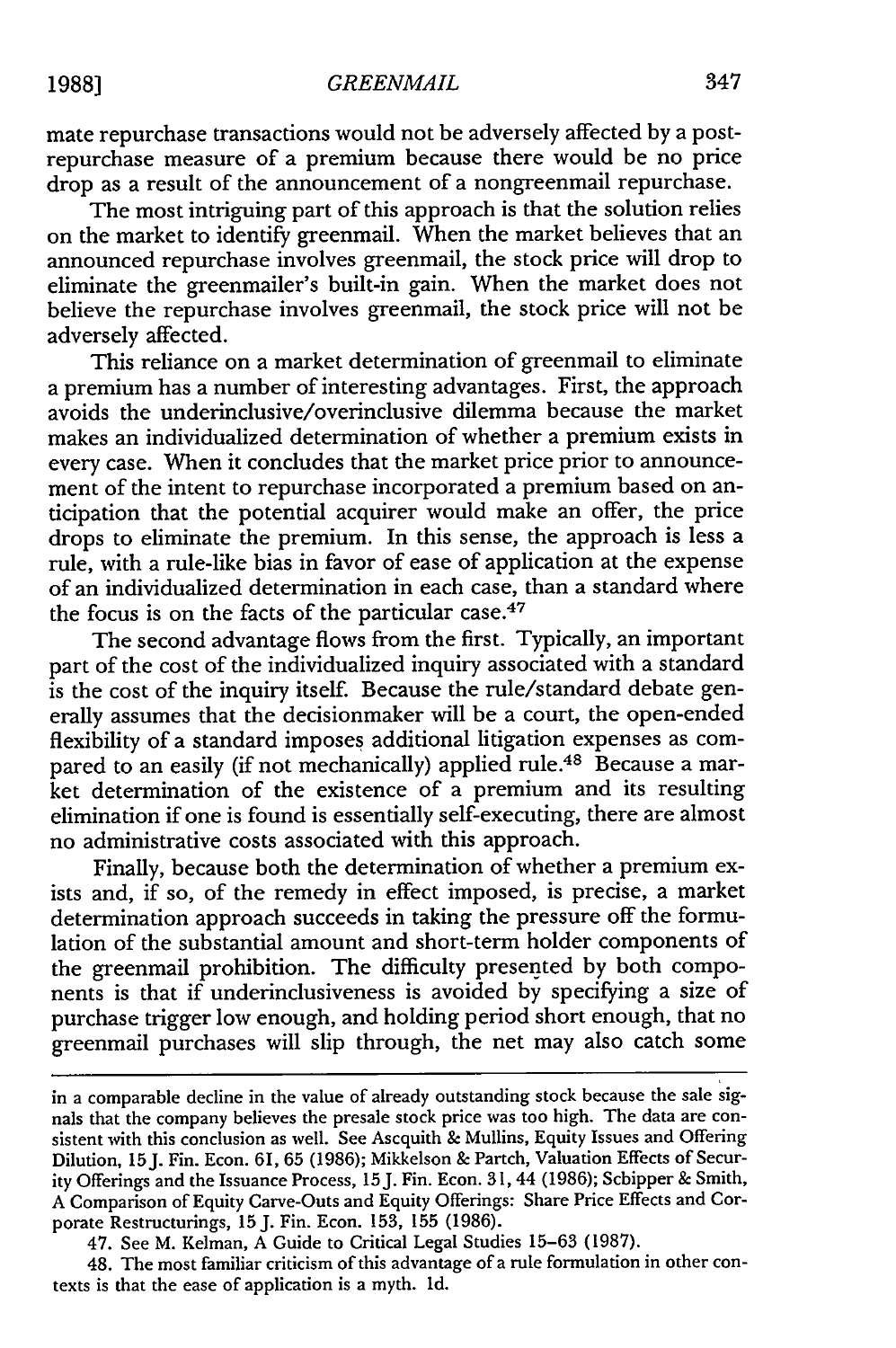mate repurchase transactions would not be adversely affected by a postrepurchase measure of a premium because there would be no price drop as a result of the announcement of a nongreenmail repurchase.

The most intriguing part of this approach is that the solution relies on the market to identify greenmail. When the market believes that an announced repurchase involves greenmail, the stock price will drop to eliminate the greenmailer's built-in gain. When the market does not believe the repurchase involves greenmail, the stock price will not be adversely affected.

This reliance on a market determination of greenmail to eliminate a premium has a number of interesting advantages. First, the approach avoids the underinclusive/overinclusive dilemma because the market makes an individualized determination of whether a premium exists in every case. When it concludes that the market price prior to announcement of the intent to repurchase incorporated a premium based on anticipation that the potential acquirer would make an offer, the price drops to eliminate the premium. In this sense, the approach is less a rule, with a rule-like bias in favor of ease of application at the expense of an individualized determination in each case, than a standard where the focus is on the facts of the particular case.<sup>47</sup>

The second advantage flows from the first. Typically, an important part of the cost of the individualized inquiry associated with a standard is the cost of the inquiry itself. Because the rule/standard debate generally assumes that the decisionmaker will be a court, the open-ended flexibility of a standard imposes additional litigation expenses as compared to an easily (if not mechanically) applied rule.<sup>48</sup> Because a market determination of the existence of a premium and its resulting elimination if one is found is essentially self-executing, there are almost no administrative costs associated with this approach.

Finally, because both the determination of whether a premium exists and, if so, of the remedy in effect imposed, is precise, a market determination approach succeeds in taking the pressure off the formulation of the substantial amount and short-term holder components of the greenmail prohibition. The difficulty presented by both components is that if underinclusiveness is avoided by specifying a size of purchase trigger low enough, and holding period short enough, that no greenmail purchases will slip through, the net may also catch some

in a comparable decline in the value of already outstanding stock because the sale signals that the company believes the presale stock price was too high. The data are consistent with this conclusion as well. See Ascquith & Mullins, Equity Issues and Offering Dilution, 15J. Fin. Econ. 61, 65 (1986); Mikkelson & Partch, Valuation Effects of Security Offerings and the Issuance Process, 15J. Fin. Econ. 31, 44 (1986); Schipper & Smith, A Comparison of Equity Carve-Outs and Equity Offerings: Share Price Effects and Corporate Restructurings, 15 J. Fin. Econ. 153, 155 (1986).

<sup>47.</sup> See M. Kelman, A Guide to Critical Legal Studies 15-63 (1987).

<sup>48.</sup> The most familiar criticism of this advantage of a rule formulation in other contexts is that the ease of application is a myth. Id.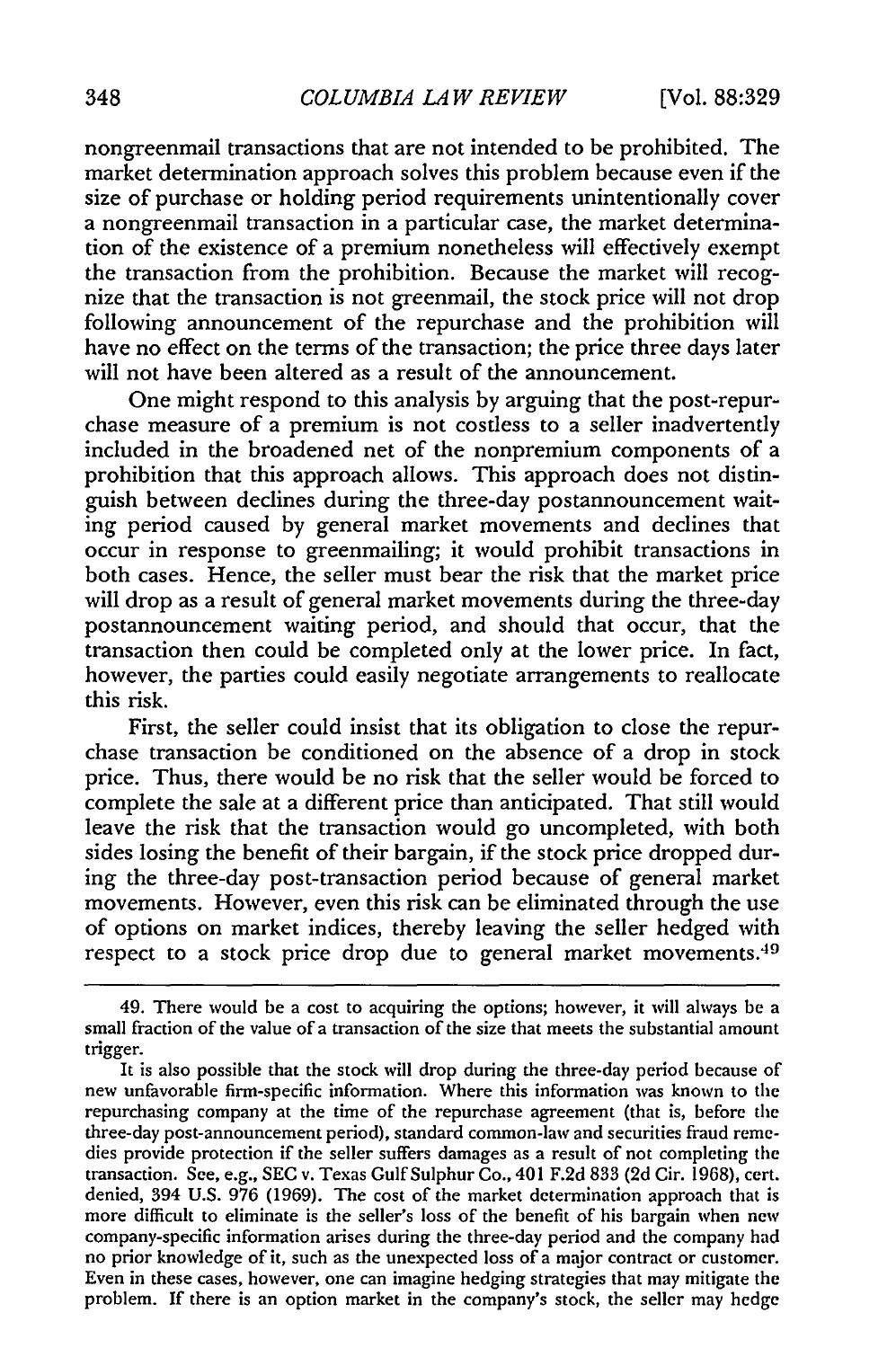nongreenmail transactions that are not intended to be prohibited. The market determination approach solves this problem because even if the size of purchase or holding period requirements unintentionally cover a nongreenmail transaction in a particular case, the market determination of the existence of a premium nonetheless will effectively exempt the transaction from the prohibition. Because the market will recognize that the transaction is not greenmail, the stock price will not drop following announcement of the repurchase and the prohibition will have no effect on the terms of the transaction; the price three days later will not have been altered as a result of the announcement.

One might respond to this analysis by arguing that the post-repurchase measure of a premium is not costless to a seller inadvertently included in the broadened net of the nonpremium components of a prohibition that this approach allows. This approach does not distinguish between declines during the three-day postannouncement waiting period caused by general market movements and declines that occur in response to greenmailing; it would prohibit transactions in both cases. Hence, the seller must bear the risk that the market price will drop as a result of general market movements during the three-day postannouncement waiting period, and should that occur, that the transaction then could be completed only at the lower price. In fact, however, the parties could easily negotiate arrangements to reallocate this risk.

First, the seller could insist that its obligation to close the repurchase transaction be conditioned on the absence of a drop in stock price. Thus, there would be no risk that the seller would be forced to complete the sale at a different price than anticipated. That still would leave the risk that the transaction would go uncompleted, with both sides losing the benefit of their bargain, if the stock price dropped during the three-day post-transaction period because of general market movements. However, even this risk can be eliminated through the use of options on market indices, thereby leaving the seller hedged with respect to a stock price drop due to general market movements.<sup>49</sup>

<sup>49.</sup> There would be a cost to acquiring the options; however, it will always be a small fraction of the value of a transaction of the size that meets the substantial amount trigger.

It is also possible that the stock will drop during the three-day period because of new unfavorable firm-specific information. Where this information was known to the repurchasing company at the time of the repurchase agreement (that is, before the three-day post-announcement period), standard common-law and securities fraud remedies provide protection if the seller suffers damages as a result of not completing the transaction. See, e.g., SEC v. Texas Gulf Sulphur Co., 401 F.2d 833 (2d Cir. 1968), cert. denied, 394 U.S. 976 (1969). The cost of the market determination approach that is more difficult to eliminate is the seller's loss of the benefit of his bargain when new company-specific information arises during the three-day period and the company had no prior knowledge of it, such as the unexpected loss of a major contract or customer. Even in these cases, however, one can imagine hedging strategies that may mitigate the problem. If there is an option market in the company's stock, the seller may hedge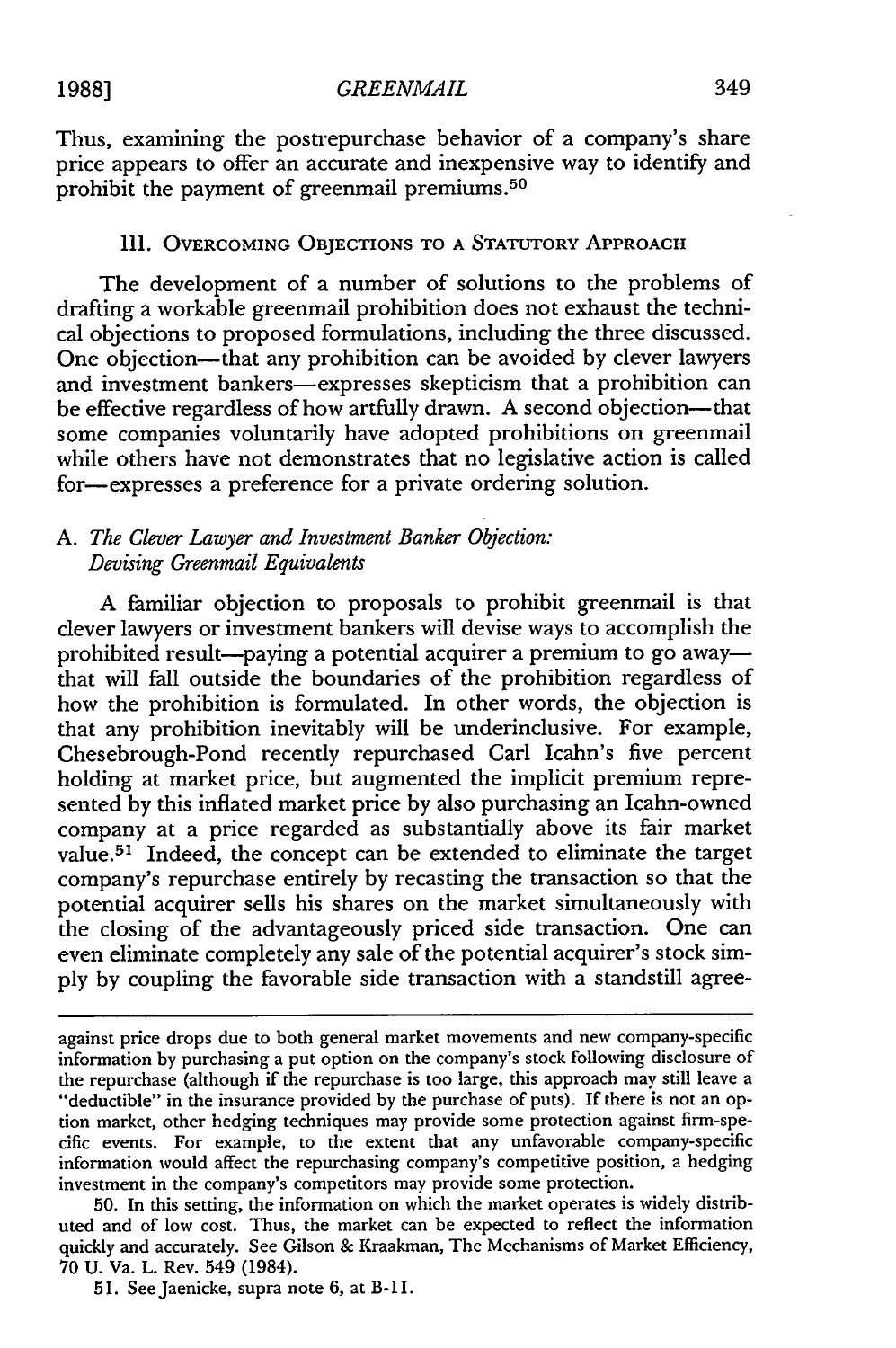*GREENMAIL*

Thus, examining the postrepurchase behavior of a company's share price appears to offer an accurate and inexpensive way to identify and prohibit the payment of greenmail premiums.<sup>50</sup>

## III. OVERCOMING OBJECTIONS TO **A** STATUTORY **APPROACH**

The development of a number of solutions to the problems of drafting a workable greenmail prohibition does not exhaust the technical objections to proposed formulations, including the three discussed. One objection-that any prohibition can be avoided by clever lawyers and investment bankers-expresses skepticism that a prohibition can be effective regardless of how artfully drawn. A second objection--that some companies voluntarily have adopted prohibitions on greenmail while others have not demonstrates that no legislative action is called for-expresses a preference for a private ordering solution.

## *A. The Clever Lawyer and Investment Banker Objection: Devising Greenmail Equivalents*

A familiar objection to proposals to prohibit greenmail is that clever lawyers or investment bankers will devise ways to accomplish the prohibited result-paying a potential acquirer a premium to go awaythat will fall outside the boundaries of the prohibition regardless of how the prohibition is formulated. In other words, the objection is that any prohibition inevitably will be underinclusive. For example, Chesebrough-Pond recently repurchased Carl Icahn's five percent holding at market price, but augmented the implicit premium represented by this inflated market price by also purchasing an Icahn-owned company at a price regarded as substantially above its fair market value.51 Indeed, the concept can be extended to eliminate the target company's repurchase entirely by recasting the transaction so that the potential acquirer sells his shares on the market simultaneously with the closing of the advantageously priced side transaction. One can even eliminate completely any sale of the potential acquirer's stock simply by coupling the favorable side transaction with a standstill agree-

against price drops due to both general market movements and new company-specific information by purchasing a put option on the company's stock following disclosure of the repurchase (although if the repurchase is too large, this approach may still leave a "deductible" in the insurance provided by the purchase of puts). If there is not an option market, other hedging techniques may provide some protection against firm-specific events. For example, to the extent that any unfavorable company-specific information would affect the repurchasing company's competitive position, a hedging investment in the company's competitors may provide some protection.

50. In this setting, the information on which the market operates is widely distributed and of low cost. Thus, the market can be expected to reflect the information quickly and accurately. See Gilson & Kraakman, The Mechanisms of Market Efficiency, 70 U. Va. L. Rev. 549 (1984).

51. SeeJaenicke, supra note 6, at **B-11.**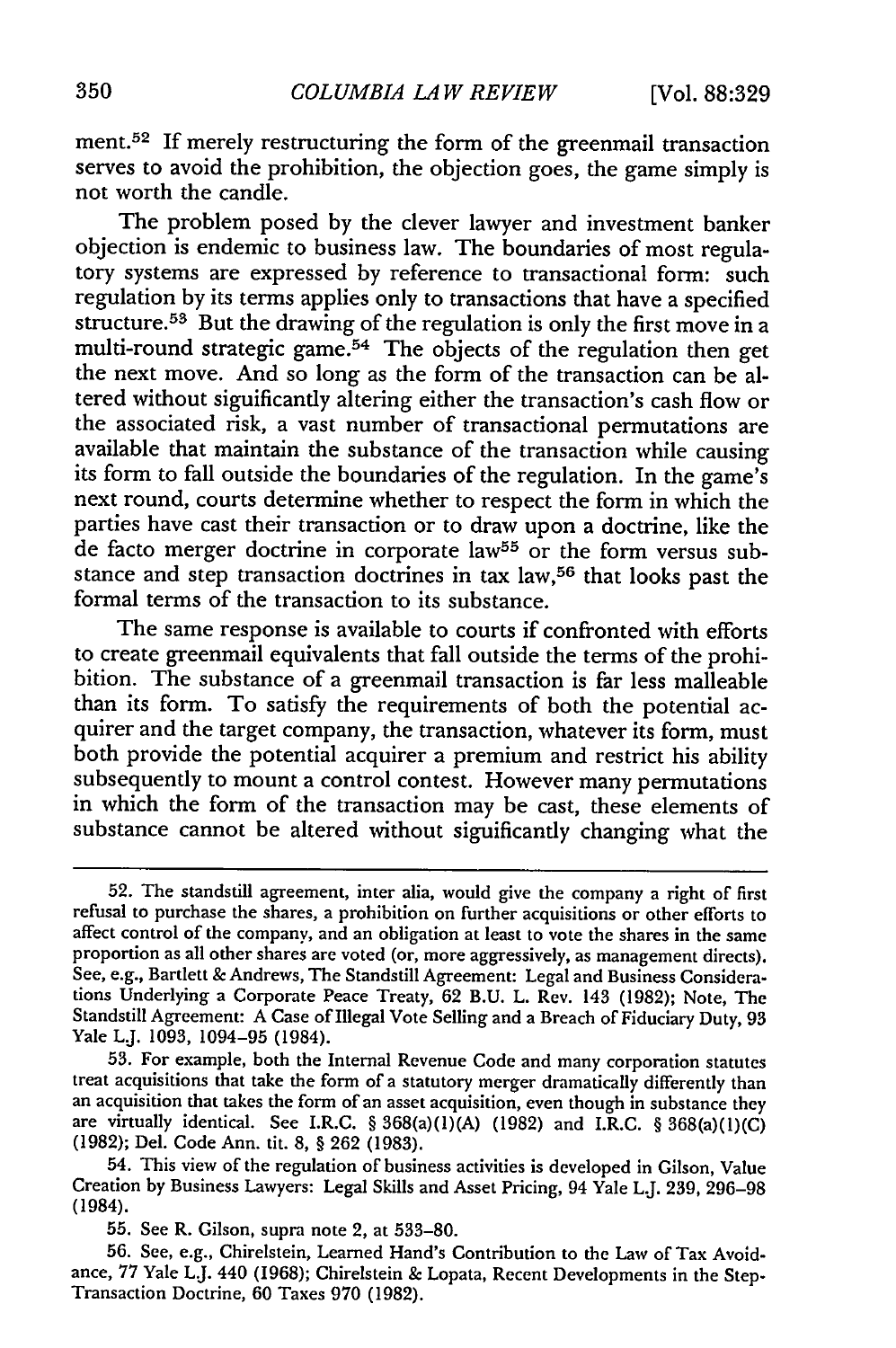ment.52 If merely restructuring the form of the greenmail transaction serves to avoid the prohibition, the objection goes, the game simply is not worth the candle.

The problem posed by the clever lawyer and investment banker objection is endemic to business law. The boundaries of most regulatory systems are expressed by reference to transactional form: such regulation by its terms applies only to transactions that have a specified structure.<sup>53</sup> But the drawing of the regulation is only the first move in a multi-round strategic game.<sup>54</sup> The objects of the regulation then get the next move. And so long as the form of the transaction can be altered without siguificantly altering either the transaction's cash flow or the associated risk, a vast number of transactional permutations are available that maintain the substance of the transaction while causing its form to fall outside the boundaries of the regulation. In the game's next round, courts determine whether to respect the form in which the parties have cast their transaction or to draw upon a doctrine, like the de facto merger doctrine in corporate law55 or the form versus substance and step transaction doctrines in tax law,<sup>56</sup> that looks past the formal terms of the transaction to its substance.

The same response is available to courts if confronted with efforts to create greenmail equivalents that fall outside the terms of the prohibition. The substance of a greenmail transaction is far less malleable than its form. To satisfy the requirements of both the potential acquirer and the target company, the transaction, whatever its form, must both provide the potential acquirer a premium and restrict his ability subsequently to mount a control contest. However many permutations in which the form of the transaction may be cast, these elements of substance cannot be altered without siguificantly changing what the

53. For example, both the Internal Revenue Code and many corporation statutes treat acquisitions that take the form of a statutory merger dramatically differently than<br>an acquisition that takes the form of an asset acquisition, even though in substance they<br>are virtually identical. See I.R.C. § 368 (1982); Del. Code Ann. tit. 8, § 262 (1983).

54. This view of the regulation of business activities is developed in Gilson, Value Creation by Business Lawyers: Legal Skills and Asset Pricing, 94 Yale L.J. 239, 296-98 (1984).

55. See R. Gilson, supra note 2, at 533-80.

56. See, e.g., Chirelstein, Learned Hand's Contribution to the Law of Tax Avoidance, 77 Yale LJ. 440 (1968); Chirelstein & Lopata, Recent Developments in the Step-Transaction Doctrine, 60 Taxes 970 (1982).

<sup>52.</sup> The standstill agreement, inter alia, would give the company a right of first refusal to purchase the shares, a prohibition on further acquisitions or other efforts to affect control of the company, and an obligation at least to vote the shares in the same proportion as all other shares are voted (or, more aggressively, as management directs). See, e.g., Bartlett & Andrews, The Standstill Agreement: Legal and Business Considerations Underlying a Corporate Peace Treaty, 62 B.U. L. Rev. 143 (1982); Note, The Standstill Agreement: A Case of Illegal Vote Selling and a Breach of Fiduciary Duty, 93 Yale L.J. 1093, 1094-95 (1984).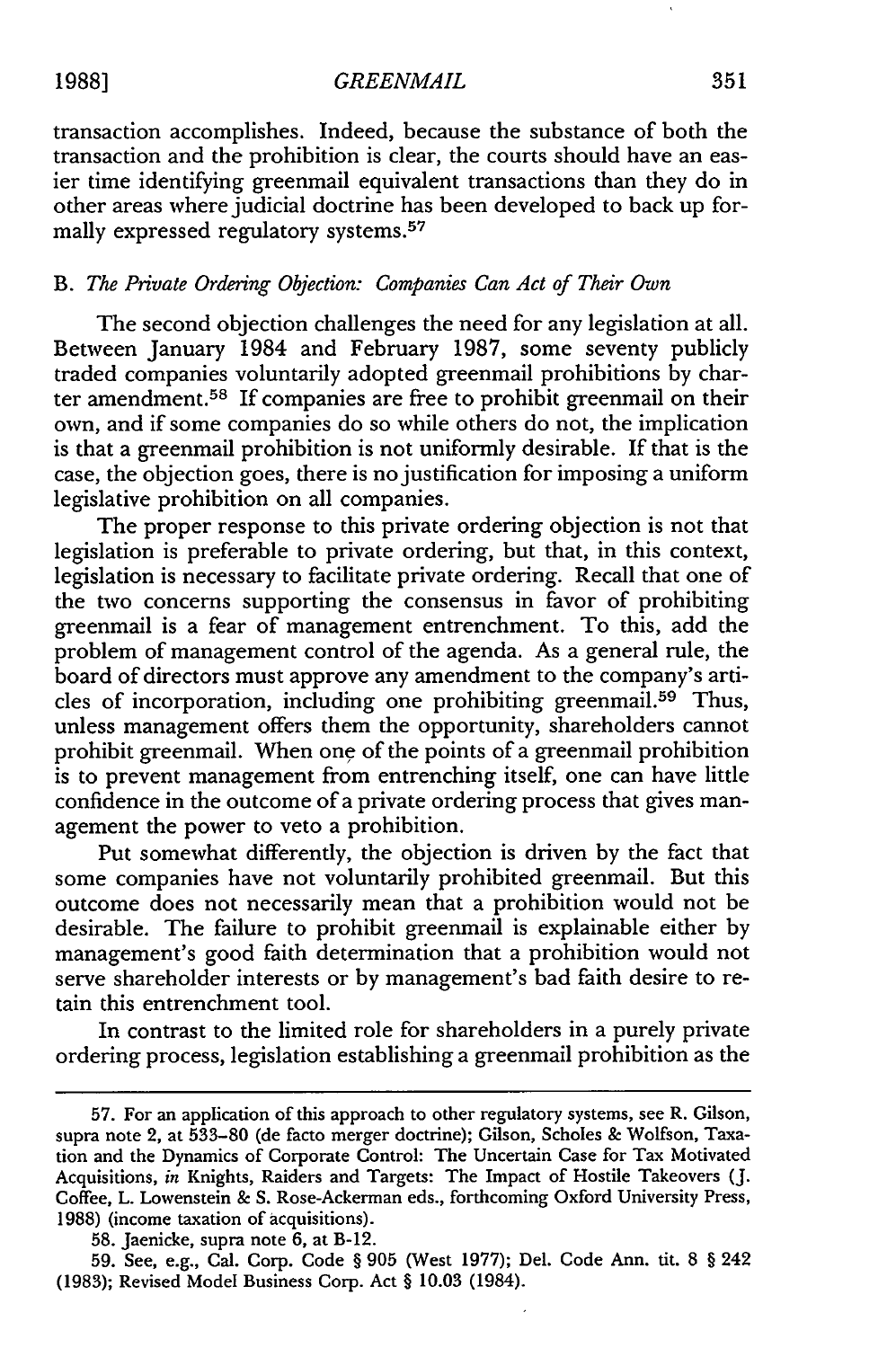*GREENMAIL*

transaction accomplishes. Indeed, because the substance of both the transaction and the prohibition is clear, the courts should have an easier time identifying greenmail equivalent transactions than they do in other areas where judicial doctrine has been developed to back up formally expressed regulatory systems. <sup>57</sup>

## *B. The Private Ordering Objection: Companies Can Act of Their Own*

The second objection challenges the need for any legislation at all. Between January 1984 and February 1987, some seventy publicly traded companies voluntarily adopted greenmail prohibitions by charter amendment. 58 If companies are free to prohibit greenmail on their own, and if some companies do so while others do not, the implication is that a greenmail prohibition is not uniformly desirable. If that is the case, the objection goes, there is no justification for imposing a uniform legislative prohibition on all companies.

The proper response to this private ordering objection is not that legislation is preferable to private ordering, but that, in this context, legislation is necessary to facilitate private ordering. Recall that one of the two concerns supporting the consensus in favor of prohibiting greenmail is a fear of management entrenchment. To this, add the problem of management control of the agenda. As a general rule, the board of directors must approve any amendment to the company's articles of incorporation, including one prohibiting greenmail.<sup>59</sup> Thus, unless management offers them the opportunity, shareholders cannot prohibit greenmail. When one of the points of a greenmail prohibition is to prevent management from entrenching itself, one can have little confidence in the outcome of a private ordering process that gives management the power to veto a prohibition.

Put somewhat differently, the objection is driven by the fact that some companies have not voluntarily prohibited greenmail. But this outcome does not necessarily mean that a prohibition would not be desirable. The failure to prohibit greenmail is explainable either by management's good faith determination that a prohibition would not serve shareholder interests or by management's bad faith desire to retain this entrenchment tool.

In contrast to the limited role for shareholders in a purely private ordering process, legislation establishing a greenmail prohibition as the

58. Jaenicke, supra note 6, at B-12.

59. See, e.g., Cal. Corp. Code § 905 (West 1977); Del. Code Ann. tit. 8 § 242 (1983); Revised Model Business Corp. Act § 10.03 (1984).

<sup>57.</sup> For an application of this approach to other regulatory systems, see R. Gilson, supra note 2, at 533-80 (de facto merger doctrine); Gilson, Scholes & Wolfson, Taxation and the Dynamics of Corporate Control: The Uncertain Case for Tax Motivated Acquisitions, *in* Knights, Raiders and Targets: The Impact of Hostile Takeovers (J. Coffee, L. Lowenstein & S. Rose-Ackerman eds., forthcoming Oxford University Press, 1988) (income taxation of acquisitions).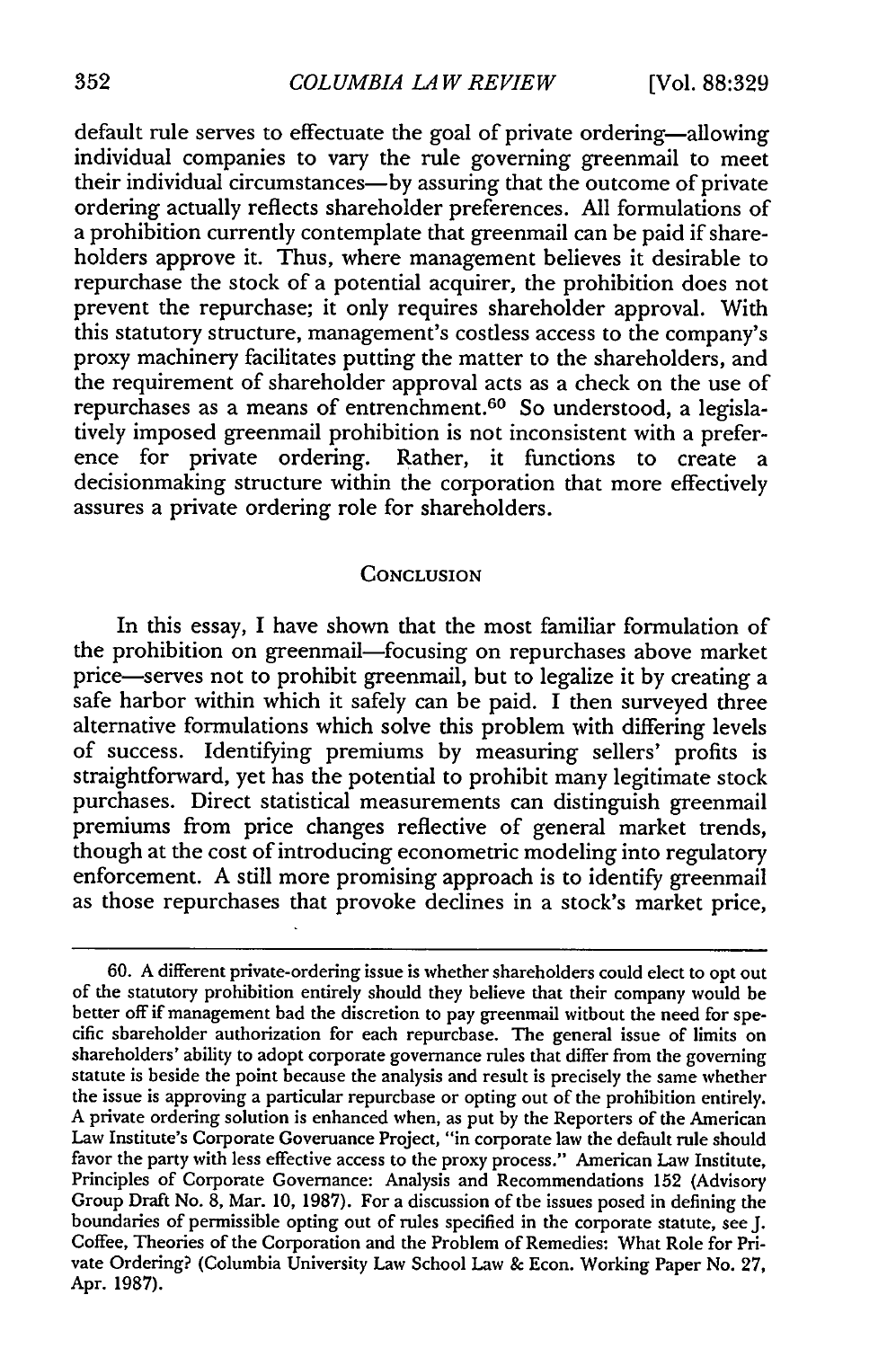default rule serves to effectuate the goal of private ordering—allowing individual companies to vary the rule governing greenmail to meet their individual circumstances-by assuring that the outcome of private ordering actually reflects shareholder preferences. All formulations of a prohibition currently contemplate that greenmail can be paid if shareholders approve it. Thus, where management believes it desirable to repurchase the stock of a potential acquirer, the prohibition does not prevent the repurchase; it only requires shareholder approval. With this statutory structure, management's costless access to the company's proxy machinery facilitates putting the matter to the shareholders, and the requirement of shareholder approval acts as a check on the use of repurchases as a means of entrenchment.<sup>60</sup> So understood, a legislatively imposed greenmail prohibition is not inconsistent with a preference for private ordering. Rather, it functions to create a decisionmaking structure within the corporation that more effectively assures a private ordering role for shareholders.

#### **CONCLUSION**

In this essay, I have shown that the most familiar formulation of the prohibition on greenmail-focusing on repurchases above market price-serves not to prohibit greenmail, but to legalize it by creating a safe harbor within which it safely can be paid. I then surveyed three alternative formulations which solve this problem with differing levels of success. Identifying premiums **by** measuring sellers' profits is straightforward, yet has the potential to prohibit many legitimate stock purchases. Direct statistical measurements can distinguish greenmail premiums from price changes reflective of general market trends, though at the cost of introducing econometric modeling into regulatory enforcement. **A** still more promising approach is to identify greenmail as those repurchases that provoke declines in a stock's market price,

**<sup>60.</sup> A** different private-ordering issue is whether shareholders could elect to opt out of the statutory prohibition entirely should they believe that their company would be better off if management had the discretion to pay greenmail without the need for specific shareholder authorization for each repurchase. The general issue of limits on shareholders' ability to adopt corporate governance rules that differ from the governing statute is beside the point because the analysis and result is precisely the same whether the issue is approving a particular repurchase or opting out of the prohibition entirely. **A** private ordering solution is enhanced when, as put by the Reporters of the American Law Institute's Corporate Governance Project, "in corporate law the default rule should favor the party with less effective access to the proxy process." American Law Institute, Principles of Corporate Governance: Analysis and Recommendations **152** (Advisory Group Draft No. 8, Mar. **10, 1987).** For a discussion of the issues posed in defining the boundaries of permissible opting out of rules specified in the corporate statute, see **J.** Coffee, Theories of the Corporation and the Problem of Remedies: What Role for Private Ordering? (Columbia University Law School Law & Econ. Working Paper No. **27,** Apr. **1987).**